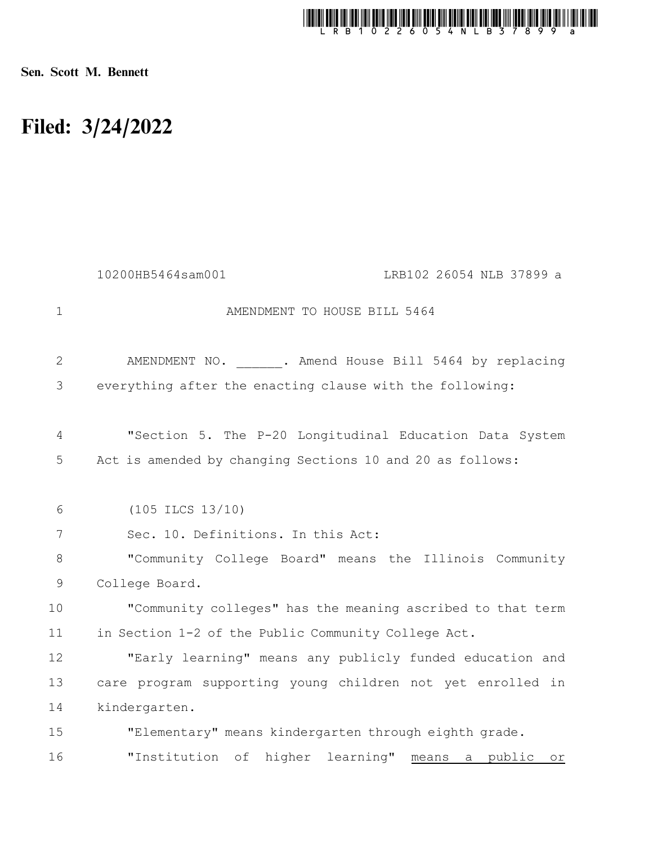

Sen. Scott M. Bennett

## Filed: 3/24/2022

|              | 10200HB5464sam001<br>LRB102 26054 NLB 37899 a                             |
|--------------|---------------------------------------------------------------------------|
| $\mathbf{1}$ | AMENDMENT TO HOUSE BILL 5464                                              |
| 2            | AMENDMENT NO. . Amend House Bill 5464 by replacing                        |
| 3            | everything after the enacting clause with the following:                  |
| 4            | "Section 5. The P-20 Longitudinal Education Data System                   |
| 5            | Act is amended by changing Sections 10 and 20 as follows:                 |
| 6            | $(105$ ILCS $13/10)$                                                      |
| 7            | Sec. 10. Definitions. In this Act:                                        |
| 8            | "Community College Board" means the Illinois Community                    |
| 9            | College Board.                                                            |
| 10           | "Community colleges" has the meaning ascribed to that term                |
| 11           | in Section 1-2 of the Public Community College Act.                       |
| 12           | "Early learning" means any publicly funded education and                  |
| 13           | care program supporting young children not yet enrolled in                |
| 14           | kindergarten.                                                             |
| 15           | "Elementary" means kindergarten through eighth grade.                     |
| 16           | "Institution of higher learning"<br>a public<br>means<br>$O\underline{r}$ |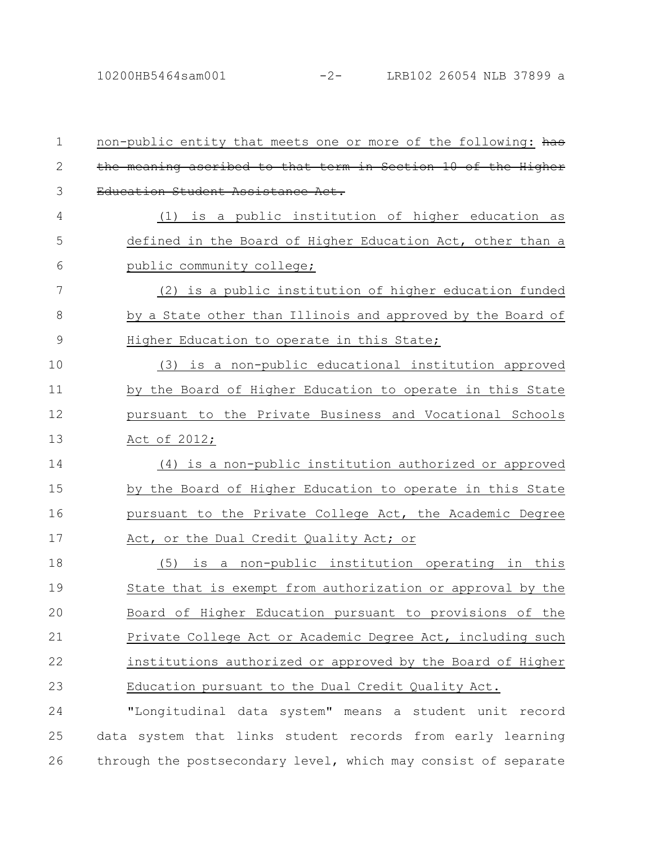| 1             | non-public entity that meets one or more of the following: has |
|---------------|----------------------------------------------------------------|
| $\mathbf{2}$  | the meaning ascribed to that term in Section 10 of the Higher  |
| 3             | Education Student Assistance Act.                              |
| 4             | (1) is a public institution of higher education as             |
| 5             | defined in the Board of Higher Education Act, other than a     |
| 6             | public community college;                                      |
| 7             | (2) is a public institution of higher education funded         |
| 8             | by a State other than Illinois and approved by the Board of    |
| $\mathcal{G}$ | Higher Education to operate in this State;                     |
| 10            | (3) is a non-public educational institution approved           |
| 11            | by the Board of Higher Education to operate in this State      |
| 12            | pursuant to the Private Business and Vocational Schools        |
| 13            | Act of 2012;                                                   |
| 14            | (4) is a non-public institution authorized or approved         |
| 15            | by the Board of Higher Education to operate in this State      |
| 16            | pursuant to the Private College Act, the Academic Degree       |
| 17            | Act, or the Dual Credit Quality Act; or                        |
| 18            | (5)<br>is a non-public institution operating in this           |
| 19            | State that is exempt from authorization or approval by the     |
| 20            | Board of Higher Education pursuant to provisions of the        |
| 21            | Private College Act or Academic Degree Act, including such     |
| 22            | institutions authorized or approved by the Board of Higher     |
| 23            | Education pursuant to the Dual Credit Quality Act.             |
| 24            | "Longitudinal data system" means a student unit record         |
| 25            | data system that links student records from early learning     |
|               |                                                                |

26 through the postsecondary level, which may consist of separate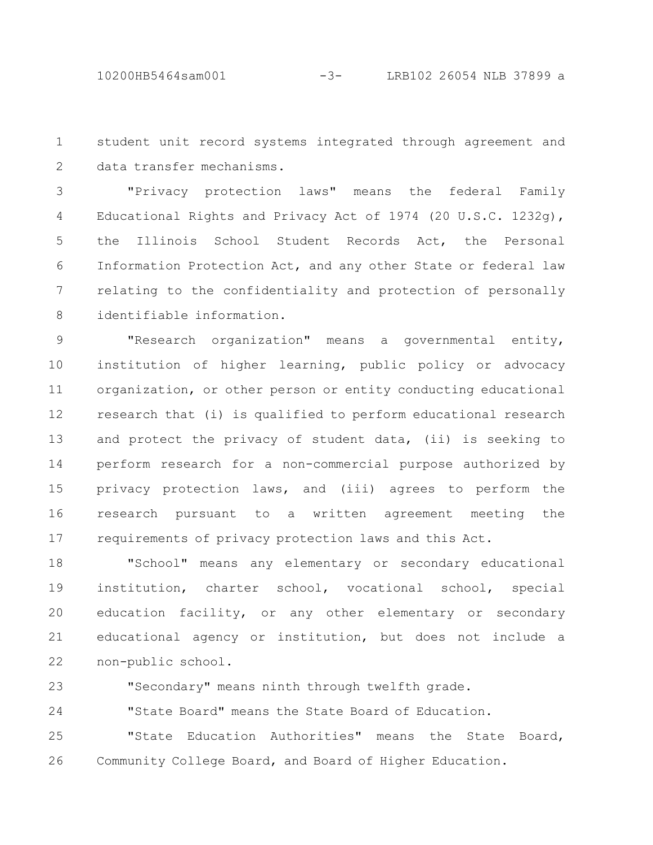student unit record systems integrated through agreement and data transfer mechanisms. 1 2

"Privacy protection laws" means the federal Family Educational Rights and Privacy Act of 1974 (20 U.S.C. 1232g), the Illinois School Student Records Act, the Personal Information Protection Act, and any other State or federal law relating to the confidentiality and protection of personally identifiable information. 3 4 5 6 7 8

"Research organization" means a governmental entity, institution of higher learning, public policy or advocacy organization, or other person or entity conducting educational research that (i) is qualified to perform educational research and protect the privacy of student data, (ii) is seeking to perform research for a non-commercial purpose authorized by privacy protection laws, and (iii) agrees to perform the research pursuant to a written agreement meeting the requirements of privacy protection laws and this Act. 9 10 11 12 13 14 15 16 17

"School" means any elementary or secondary educational institution, charter school, vocational school, special education facility, or any other elementary or secondary educational agency or institution, but does not include a non-public school. 18 19 20 21 22

23

"Secondary" means ninth through twelfth grade.

"State Board" means the State Board of Education. 24

"State Education Authorities" means the State Board, Community College Board, and Board of Higher Education. 25 26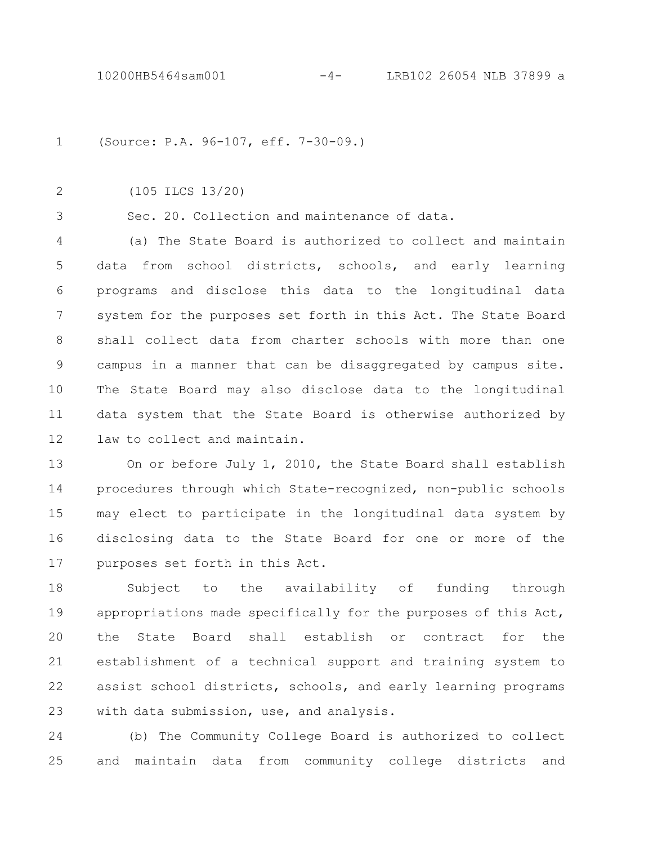(Source: P.A. 96-107, eff. 7-30-09.) 1

2

(105 ILCS 13/20)

3

Sec. 20. Collection and maintenance of data.

(a) The State Board is authorized to collect and maintain data from school districts, schools, and early learning programs and disclose this data to the longitudinal data system for the purposes set forth in this Act. The State Board shall collect data from charter schools with more than one campus in a manner that can be disaggregated by campus site. The State Board may also disclose data to the longitudinal data system that the State Board is otherwise authorized by law to collect and maintain. 4 5 6 7 8 9 10 11 12

On or before July 1, 2010, the State Board shall establish procedures through which State-recognized, non-public schools may elect to participate in the longitudinal data system by disclosing data to the State Board for one or more of the purposes set forth in this Act. 13 14 15 16 17

Subject to the availability of funding through appropriations made specifically for the purposes of this Act, the State Board shall establish or contract for the establishment of a technical support and training system to assist school districts, schools, and early learning programs with data submission, use, and analysis. 18 19  $20$ 21 22 23

(b) The Community College Board is authorized to collect and maintain data from community college districts and 24 25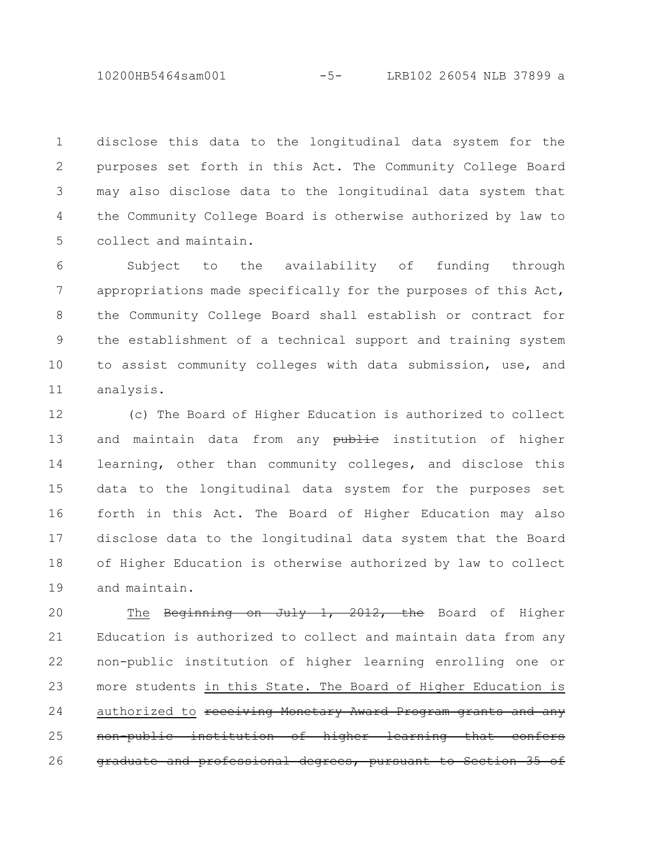10200HB5464sam001 -5- LRB102 26054 NLB 37899 a

disclose this data to the longitudinal data system for the purposes set forth in this Act. The Community College Board may also disclose data to the longitudinal data system that the Community College Board is otherwise authorized by law to collect and maintain. 1 2 3 4 5

Subject to the availability of funding through appropriations made specifically for the purposes of this Act, the Community College Board shall establish or contract for the establishment of a technical support and training system to assist community colleges with data submission, use, and analysis. 6 7 8 9 10 11

(c) The Board of Higher Education is authorized to collect and maintain data from any **publie** institution of higher learning, other than community colleges, and disclose this data to the longitudinal data system for the purposes set forth in this Act. The Board of Higher Education may also disclose data to the longitudinal data system that the Board of Higher Education is otherwise authorized by law to collect and maintain. 12 13 14 15 16 17 18 19

The Beginning on July 1, 2012, the Board of Higher Education is authorized to collect and maintain data from any non-public institution of higher learning enrolling one or more students in this State. The Board of Higher Education is authorized to receiving Monetary Award Program grants and any non-public institution of higher learning that graduate and professional degrees, pursuant to Section 20 21 22 23 24 25 26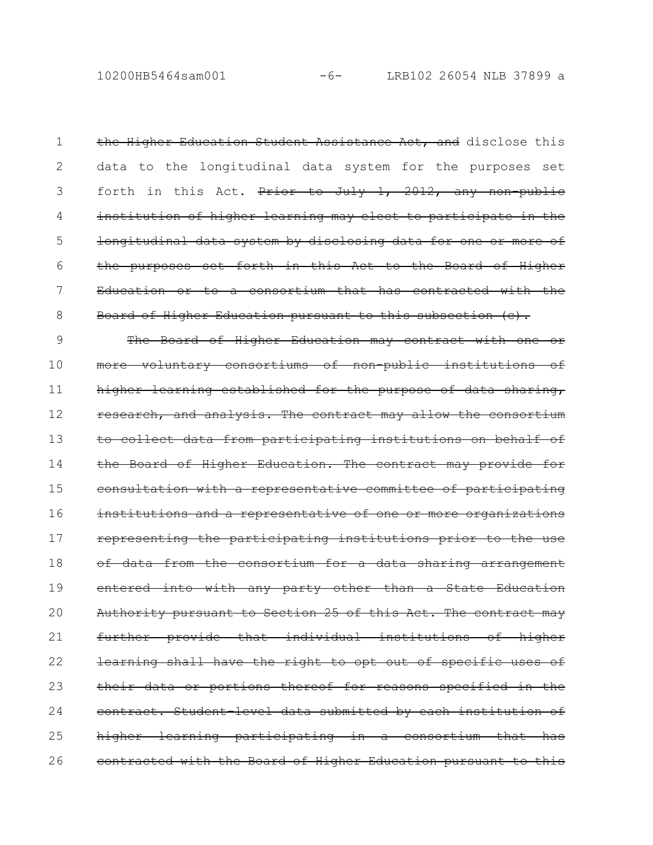10200HB5464sam001 -6- LRB102 26054 NLB 37899 a

the Higher Education Student Assistance Act, and disclose this data to the longitudinal data system for the purposes set forth in this Act. Prior to July 1, 2012, any non-public institution of higher learning may elect to participate in the longitudinal data system by disclosing data for one or more of the purposes set forth in this Act to the Board of Higher Education or to a consortium that has contracted with the Board of Higher Education pursuant to this subsection (c). 1 2 3 4 5 6 7 8

The Board of Higher Education may contract with one or more voluntary consortiums of non-public institutions of higher learning established for the purpose of data sharing, research, and analysis. The contract may allow the consortium to collect data from participating institutions on behalf of the Board of Higher Education. The contract may provide for consultation with a representative committee of participating institutions and a representative of one or more organizations representing the participating institutions prior to the use of data from the consortium for a data sharing arrangement entered into with any party other than a State Education Authority pursuant to Section 25 of this Act. The contract may further provide that individual institutions of higher learning shall have the right to opt out of specific uses of their data or portions thereof for reasons specified in the contract. Student-level data submitted by each institution of higher learning participating in a consortium that contracted with the Board of Higher Education pursuant to this 9 10 11 12 13 14 15 16 17 18 19 20 21 22 23 24 25 26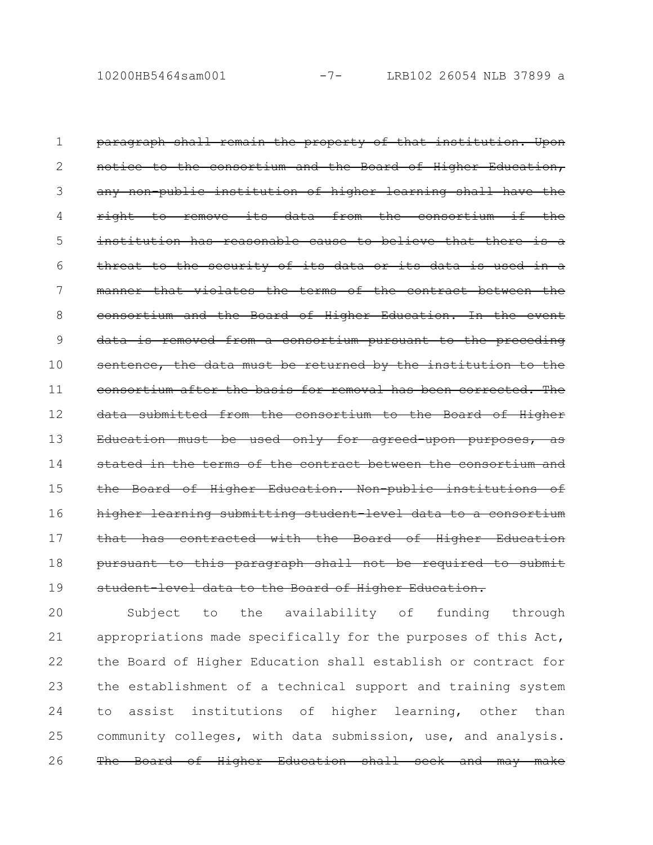paragraph shall remain the property of that institution. Upon notice to the consortium and the Board of Higher Education, any non-public institution of higher learning shall have the right to remove its data from the consortium if the institution has reasonable cause to believe that there threat to the security of its data or its data is used manner that violates the terms of the contract between the consortium and the Board of Higher Education. In the event data is removed from a consortium pursuant to the preceding sentence, the data must be returned by the institution to the consortium after the basis for removal has been corrected. The data submitted from the consortium to the Board of Higher Education must be used only for agreed-upon purposes, stated in the terms of the contract between the consortium and the Board of Higher Education. Non-public institutions higher learning submitting student-level data to a consortium that has contracted with the Board of Higher Education pursuant to this paragraph shall not be required to submit student level data to the Board of Higher Education. 1 2 3 4 5 6 7 8 9 10 11 12 13 14 15 16 17 18 19

Subject to the availability of funding through appropriations made specifically for the purposes of this Act, the Board of Higher Education shall establish or contract for the establishment of a technical support and training system to assist institutions of higher learning, other than community colleges, with data submission, use, and analysis. The Board of Higher Education shall seek and may make 20 21 22 23 24 25 26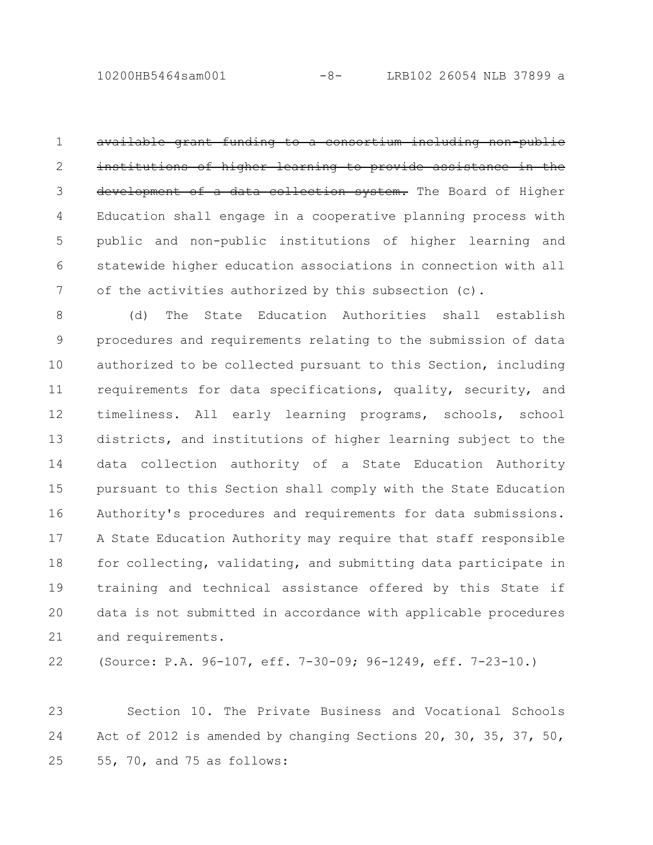10200HB5464sam001 -8- LRB102 26054 NLB 37899 a

available grant funding to a consortium including non-public institutions of higher learning to provide assistance in the development of a data collection system. The Board of Higher Education shall engage in a cooperative planning process with public and non-public institutions of higher learning and statewide higher education associations in connection with all of the activities authorized by this subsection (c). 1 2 3 4 5 6 7

(d) The State Education Authorities shall establish procedures and requirements relating to the submission of data authorized to be collected pursuant to this Section, including requirements for data specifications, quality, security, and timeliness. All early learning programs, schools, school districts, and institutions of higher learning subject to the data collection authority of a State Education Authority pursuant to this Section shall comply with the State Education Authority's procedures and requirements for data submissions. A State Education Authority may require that staff responsible for collecting, validating, and submitting data participate in training and technical assistance offered by this State if data is not submitted in accordance with applicable procedures and requirements. 8 9 10 11 12 13 14 15 16 17 18 19 20 21

22

(Source: P.A. 96-107, eff. 7-30-09; 96-1249, eff. 7-23-10.)

Section 10. The Private Business and Vocational Schools Act of 2012 is amended by changing Sections 20, 30, 35, 37, 50, 55, 70, and 75 as follows: 23 24 25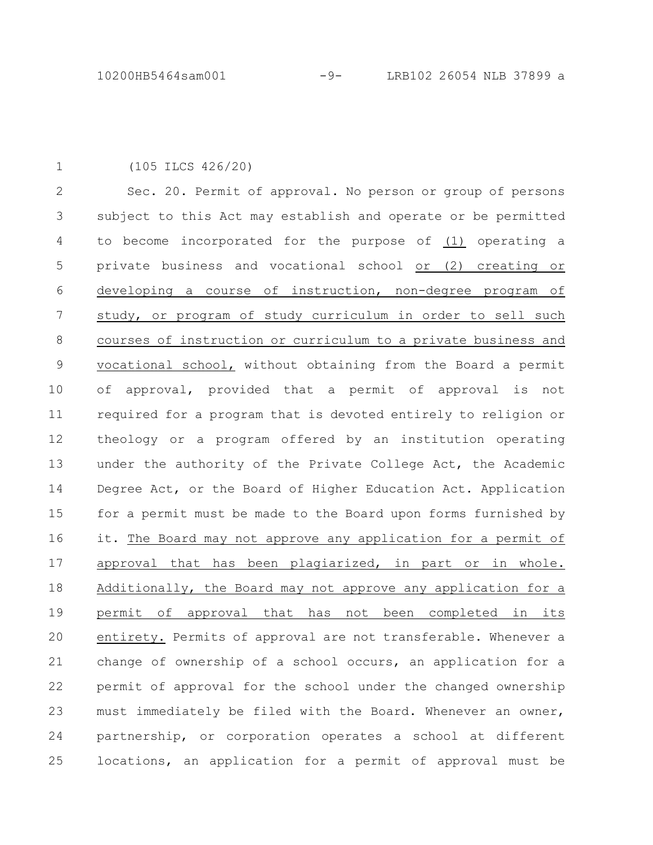(105 ILCS 426/20) 1

Sec. 20. Permit of approval. No person or group of persons subject to this Act may establish and operate or be permitted to become incorporated for the purpose of (1) operating a private business and vocational school or (2) creating or developing a course of instruction, non-degree program of study, or program of study curriculum in order to sell such courses of instruction or curriculum to a private business and vocational school, without obtaining from the Board a permit of approval, provided that a permit of approval is not required for a program that is devoted entirely to religion or theology or a program offered by an institution operating under the authority of the Private College Act, the Academic Degree Act, or the Board of Higher Education Act. Application for a permit must be made to the Board upon forms furnished by it. The Board may not approve any application for a permit of approval that has been plagiarized, in part or in whole. Additionally, the Board may not approve any application for a permit of approval that has not been completed in its entirety. Permits of approval are not transferable. Whenever a change of ownership of a school occurs, an application for a permit of approval for the school under the changed ownership must immediately be filed with the Board. Whenever an owner, partnership, or corporation operates a school at different locations, an application for a permit of approval must be 2 3 4 5 6 7 8 9 10 11 12 13 14 15 16 17 18 19 20 21 22 23 24 25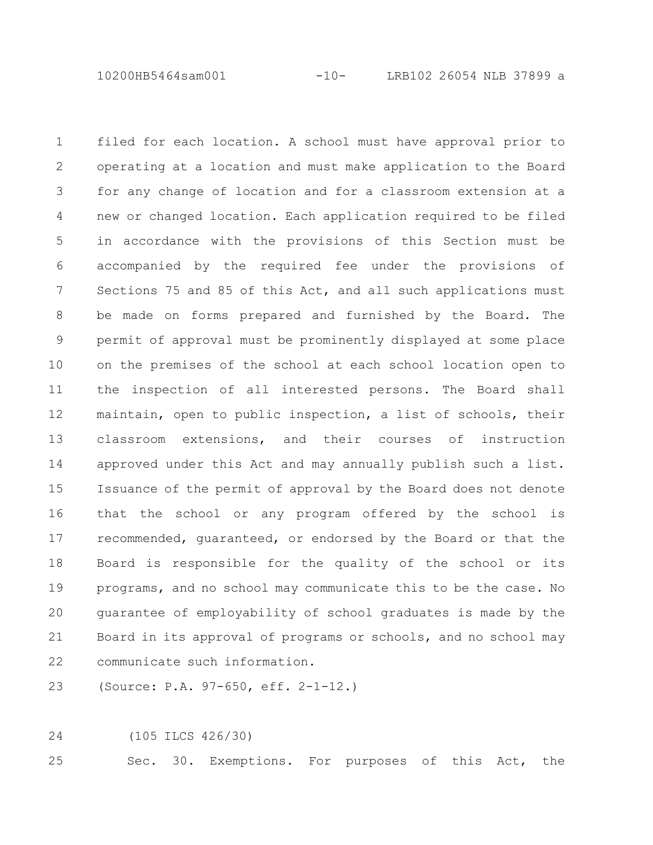10200HB5464sam001 -10- LRB102 26054 NLB 37899 a

filed for each location. A school must have approval prior to operating at a location and must make application to the Board for any change of location and for a classroom extension at a new or changed location. Each application required to be filed in accordance with the provisions of this Section must be accompanied by the required fee under the provisions of Sections 75 and 85 of this Act, and all such applications must be made on forms prepared and furnished by the Board. The permit of approval must be prominently displayed at some place on the premises of the school at each school location open to the inspection of all interested persons. The Board shall maintain, open to public inspection, a list of schools, their classroom extensions, and their courses of instruction approved under this Act and may annually publish such a list. Issuance of the permit of approval by the Board does not denote that the school or any program offered by the school is recommended, guaranteed, or endorsed by the Board or that the Board is responsible for the quality of the school or its programs, and no school may communicate this to be the case. No guarantee of employability of school graduates is made by the Board in its approval of programs or schools, and no school may communicate such information. 1 2 3 4 5 6 7 8 9 10 11 12 13 14 15 16 17 18 19 20 21 22

(Source: P.A. 97-650, eff. 2-1-12.) 23

(105 ILCS 426/30) 24

Sec. 30. Exemptions. For purposes of this Act, the 25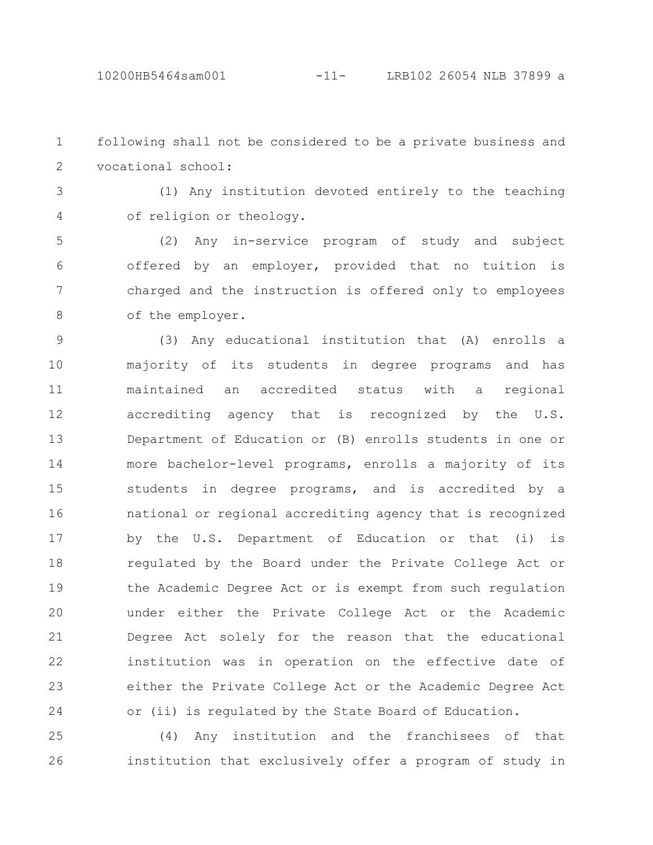following shall not be considered to be a private business and vocational school: 1 2

(1) Any institution devoted entirely to the teaching of religion or theology. 3 4

(2) Any in-service program of study and subject offered by an employer, provided that no tuition is charged and the instruction is offered only to employees of the employer. 5 6 7 8

(3) Any educational institution that (A) enrolls a majority of its students in degree programs and has maintained an accredited status with a regional accrediting agency that is recognized by the U.S. Department of Education or (B) enrolls students in one or more bachelor-level programs, enrolls a majority of its students in degree programs, and is accredited by a national or regional accrediting agency that is recognized by the U.S. Department of Education or that (i) is regulated by the Board under the Private College Act or the Academic Degree Act or is exempt from such regulation under either the Private College Act or the Academic Degree Act solely for the reason that the educational institution was in operation on the effective date of either the Private College Act or the Academic Degree Act or (ii) is regulated by the State Board of Education. 9 10 11 12 13 14 15 16 17 18 19 20 21 22 23 24

(4) Any institution and the franchisees of that institution that exclusively offer a program of study in 25 26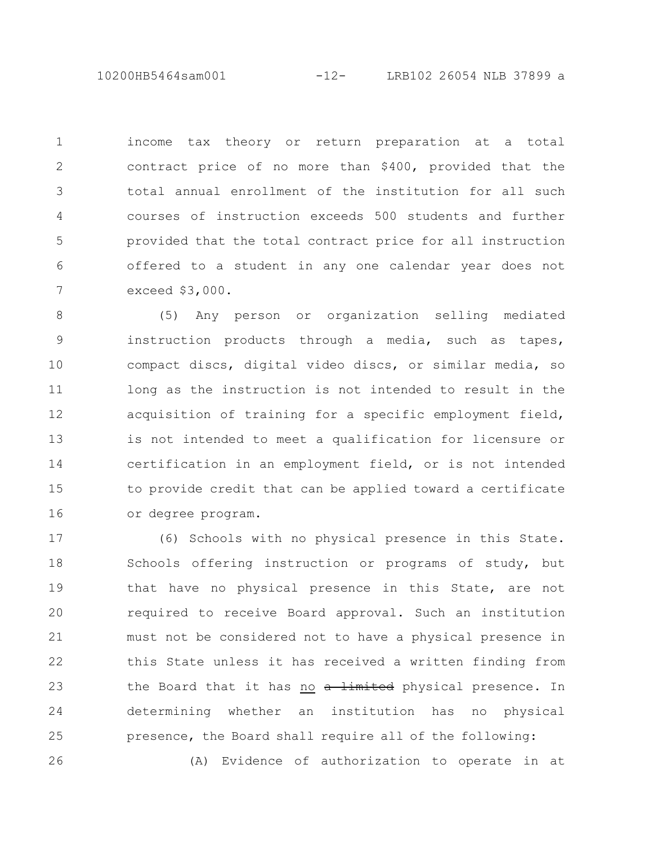10200HB5464sam001 -12- LRB102 26054 NLB 37899 a

income tax theory or return preparation at a total contract price of no more than \$400, provided that the total annual enrollment of the institution for all such courses of instruction exceeds 500 students and further provided that the total contract price for all instruction offered to a student in any one calendar year does not exceed \$3,000. 1 2 3 4 5 6 7

(5) Any person or organization selling mediated instruction products through a media, such as tapes, compact discs, digital video discs, or similar media, so long as the instruction is not intended to result in the acquisition of training for a specific employment field, is not intended to meet a qualification for licensure or certification in an employment field, or is not intended to provide credit that can be applied toward a certificate or degree program. 8 9 10 11 12 13 14 15 16

(6) Schools with no physical presence in this State. Schools offering instruction or programs of study, but that have no physical presence in this State, are not required to receive Board approval. Such an institution must not be considered not to have a physical presence in this State unless it has received a written finding from the Board that it has no a limited physical presence. In determining whether an institution has no physical presence, the Board shall require all of the following: (A) Evidence of authorization to operate in at 17 18 19 20 21 22 23 24 25 26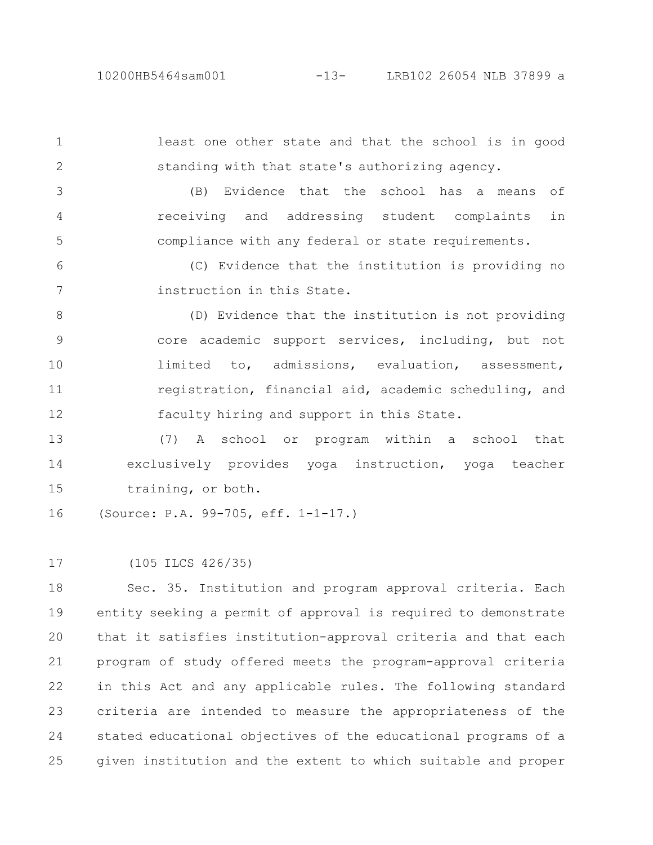1

2

least one other state and that the school is in good standing with that state's authorizing agency.

(B) Evidence that the school has a means of receiving and addressing student complaints in compliance with any federal or state requirements. 3 4 5

(C) Evidence that the institution is providing no instruction in this State. 6 7

(D) Evidence that the institution is not providing core academic support services, including, but not limited to, admissions, evaluation, assessment, registration, financial aid, academic scheduling, and faculty hiring and support in this State. 8 9 10 11 12

(7) A school or program within a school that exclusively provides yoga instruction, yoga teacher training, or both. 13 14 15

(Source: P.A. 99-705, eff. 1-1-17.) 16

(105 ILCS 426/35) 17

Sec. 35. Institution and program approval criteria. Each entity seeking a permit of approval is required to demonstrate that it satisfies institution-approval criteria and that each program of study offered meets the program-approval criteria in this Act and any applicable rules. The following standard criteria are intended to measure the appropriateness of the stated educational objectives of the educational programs of a given institution and the extent to which suitable and proper 18 19  $20$ 21 22 23 24 25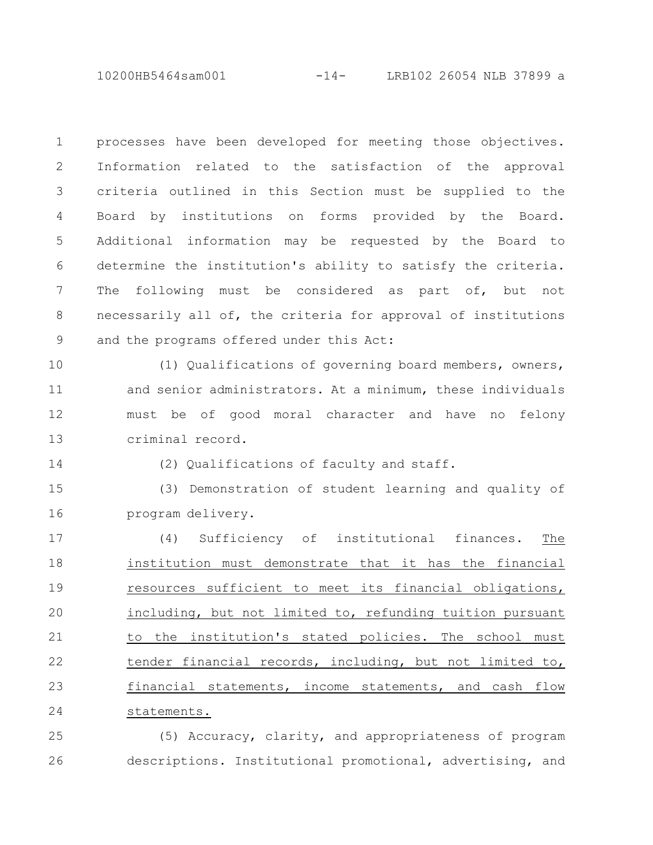10200HB5464sam001 -14- LRB102 26054 NLB 37899 a

processes have been developed for meeting those objectives. Information related to the satisfaction of the approval criteria outlined in this Section must be supplied to the Board by institutions on forms provided by the Board. Additional information may be requested by the Board to determine the institution's ability to satisfy the criteria. The following must be considered as part of, but not necessarily all of, the criteria for approval of institutions and the programs offered under this Act: 1 2 3 4 5 6 7 8 9

(1) Qualifications of governing board members, owners, and senior administrators. At a minimum, these individuals must be of good moral character and have no felony criminal record. 10 11 12 13

14

(2) Qualifications of faculty and staff.

(3) Demonstration of student learning and quality of program delivery. 15 16

(4) Sufficiency of institutional finances. The institution must demonstrate that it has the financial resources sufficient to meet its financial obligations, including, but not limited to, refunding tuition pursuant to the institution's stated policies. The school must tender financial records, including, but not limited to, financial statements, income statements, and cash flow statements. 17 18 19 20 21 22 23 24

(5) Accuracy, clarity, and appropriateness of program descriptions. Institutional promotional, advertising, and 25 26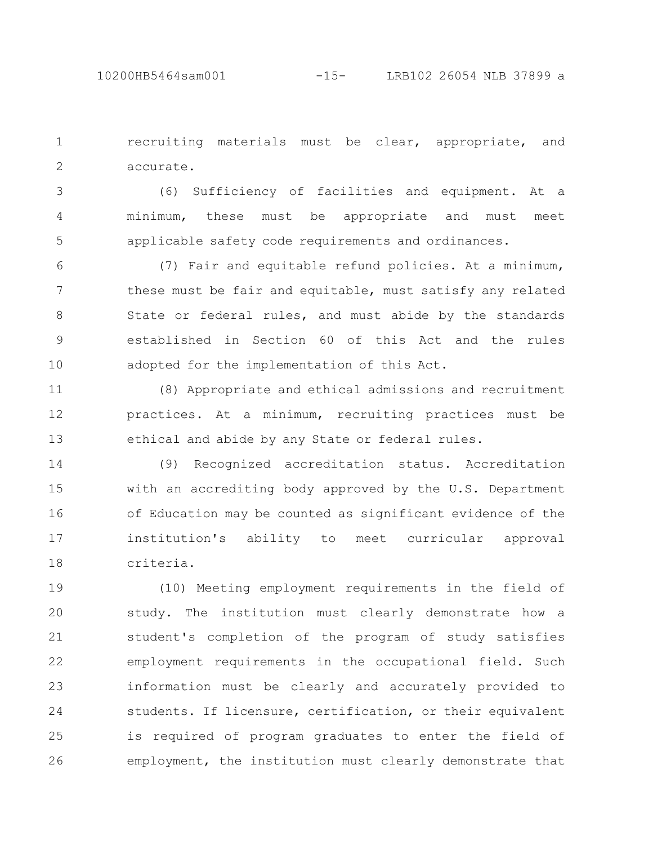recruiting materials must be clear, appropriate, and accurate. 1 2

(6) Sufficiency of facilities and equipment. At a minimum, these must be appropriate and must meet applicable safety code requirements and ordinances. 3 4 5

(7) Fair and equitable refund policies. At a minimum, these must be fair and equitable, must satisfy any related State or federal rules, and must abide by the standards established in Section 60 of this Act and the rules adopted for the implementation of this Act. 6 7 8 9 10

(8) Appropriate and ethical admissions and recruitment practices. At a minimum, recruiting practices must be ethical and abide by any State or federal rules. 11 12 13

(9) Recognized accreditation status. Accreditation with an accrediting body approved by the U.S. Department of Education may be counted as significant evidence of the institution's ability to meet curricular approval criteria. 14 15 16 17 18

(10) Meeting employment requirements in the field of study. The institution must clearly demonstrate how a student's completion of the program of study satisfies employment requirements in the occupational field. Such information must be clearly and accurately provided to students. If licensure, certification, or their equivalent is required of program graduates to enter the field of employment, the institution must clearly demonstrate that 19 20 21 22 23 24 25 26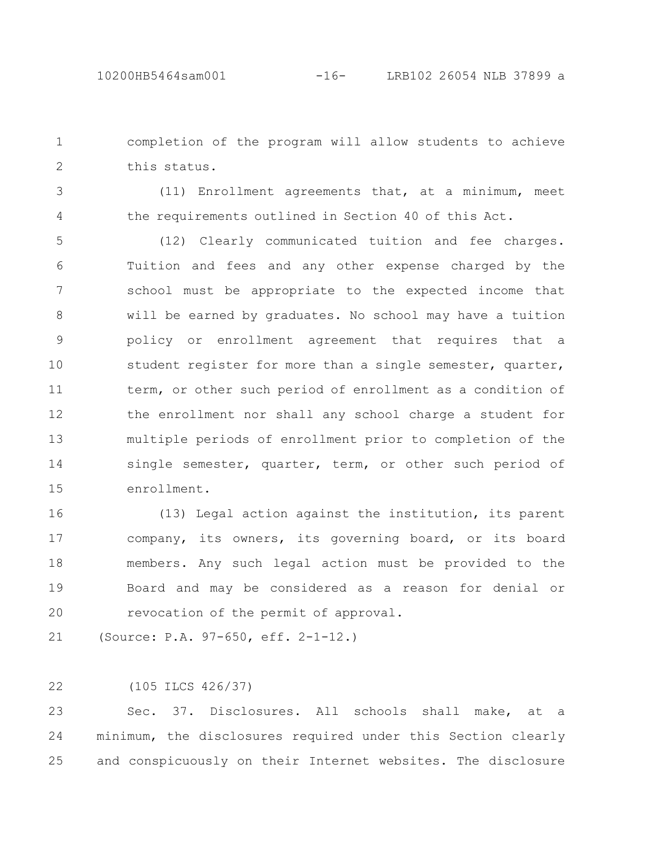completion of the program will allow students to achieve this status. 1 2

3

4

(11) Enrollment agreements that, at a minimum, meet the requirements outlined in Section 40 of this Act.

(12) Clearly communicated tuition and fee charges. Tuition and fees and any other expense charged by the school must be appropriate to the expected income that will be earned by graduates. No school may have a tuition policy or enrollment agreement that requires that a student register for more than a single semester, quarter, term, or other such period of enrollment as a condition of the enrollment nor shall any school charge a student for multiple periods of enrollment prior to completion of the single semester, quarter, term, or other such period of enrollment. 5 6 7 8 9 10 11 12 13 14 15

(13) Legal action against the institution, its parent company, its owners, its governing board, or its board members. Any such legal action must be provided to the Board and may be considered as a reason for denial or revocation of the permit of approval. 16 17 18 19 20

(Source: P.A. 97-650, eff. 2-1-12.) 21

(105 ILCS 426/37) 22

Sec. 37. Disclosures. All schools shall make, at a minimum, the disclosures required under this Section clearly and conspicuously on their Internet websites. The disclosure 23 24 25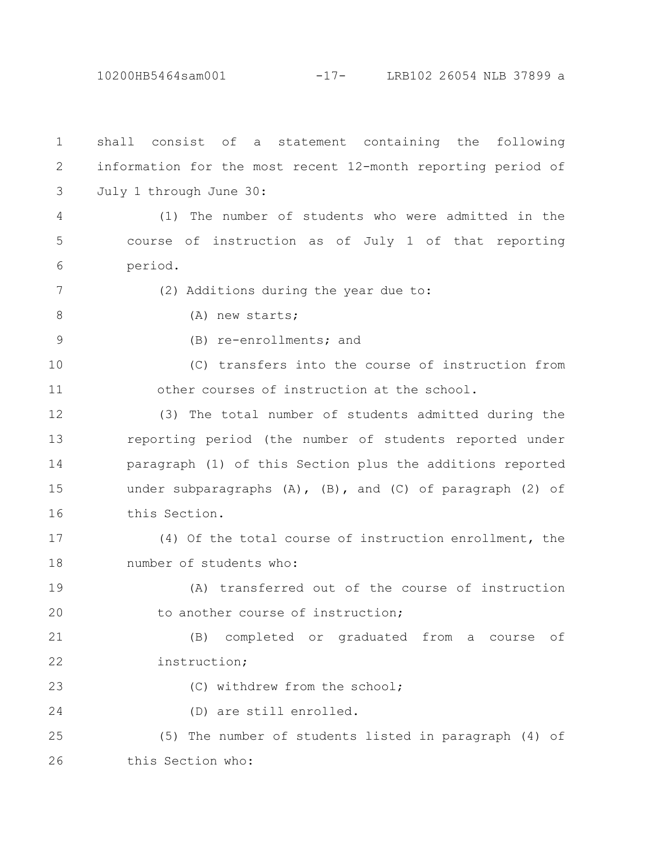10200HB5464sam001 -17- LRB102 26054 NLB 37899 a

shall consist of a statement containing the following information for the most recent 12-month reporting period of July 1 through June 30: (1) The number of students who were admitted in the course of instruction as of July 1 of that reporting period. (2) Additions during the year due to: (A) new starts; (B) re-enrollments; and (C) transfers into the course of instruction from other courses of instruction at the school. (3) The total number of students admitted during the reporting period (the number of students reported under paragraph (1) of this Section plus the additions reported under subparagraphs  $(A)$ ,  $(B)$ , and  $(C)$  of paragraph  $(2)$  of this Section. (4) Of the total course of instruction enrollment, the number of students who: (A) transferred out of the course of instruction to another course of instruction; (B) completed or graduated from a course of instruction; (C) withdrew from the school; (D) are still enrolled. (5) The number of students listed in paragraph (4) of this Section who: 1 2 3 4 5 6 7 8 9 10 11 12 13 14 15 16 17 18 19 20 21 22 23 24 25 26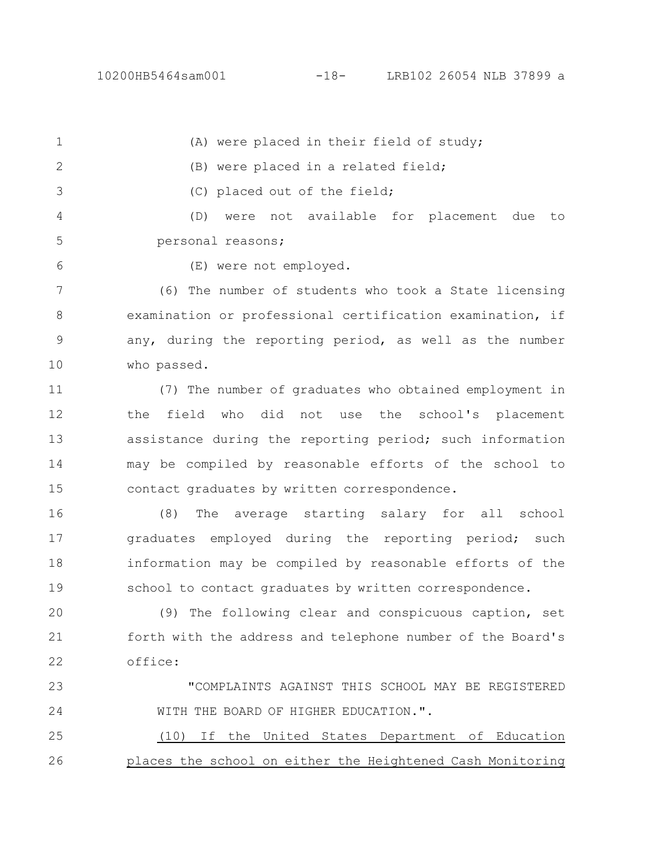(A) were placed in their field of study; 1

(B) were placed in a related field;

(C) placed out of the field;

(D) were not available for placement due to personal reasons; 4 5

6

2

3

(E) were not employed.

(6) The number of students who took a State licensing examination or professional certification examination, if any, during the reporting period, as well as the number who passed. 7 8 9 10

(7) The number of graduates who obtained employment in the field who did not use the school's placement assistance during the reporting period; such information may be compiled by reasonable efforts of the school to contact graduates by written correspondence. 11 12 13 14 15

(8) The average starting salary for all school graduates employed during the reporting period; such information may be compiled by reasonable efforts of the school to contact graduates by written correspondence. 16 17 18 19

(9) The following clear and conspicuous caption, set forth with the address and telephone number of the Board's office: 20 21 22

"COMPLAINTS AGAINST THIS SCHOOL MAY BE REGISTERED WITH THE BOARD OF HIGHER EDUCATION.". 23 24

(10) If the United States Department of Education places the school on either the Heightened Cash Monitoring 25 26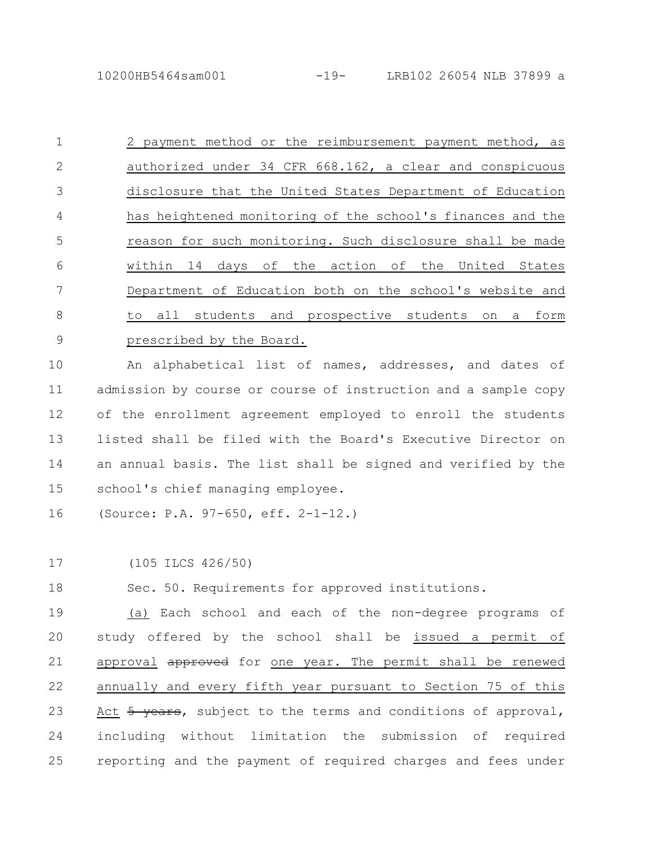2 payment method or the reimbursement payment method, as authorized under 34 CFR 668.162, a clear and conspicuous disclosure that the United States Department of Education has heightened monitoring of the school's finances and the reason for such monitoring. Such disclosure shall be made within 14 days of the action of the United States Department of Education both on the school's website and to all students and prospective students on a form prescribed by the Board. 1 2 3 4 5 6 7 8 9

An alphabetical list of names, addresses, and dates of admission by course or course of instruction and a sample copy of the enrollment agreement employed to enroll the students listed shall be filed with the Board's Executive Director on an annual basis. The list shall be signed and verified by the school's chief managing employee. 10 11 12 13 14 15

(Source: P.A. 97-650, eff. 2-1-12.) 16

(105 ILCS 426/50) 17

Sec. 50. Requirements for approved institutions. 18

(a) Each school and each of the non-degree programs of study offered by the school shall be issued a permit of approval approved for one year. The permit shall be renewed annually and every fifth year pursuant to Section 75 of this Act 5 years, subject to the terms and conditions of approval, including without limitation the submission of required reporting and the payment of required charges and fees under 19 20 21 22 23 24 25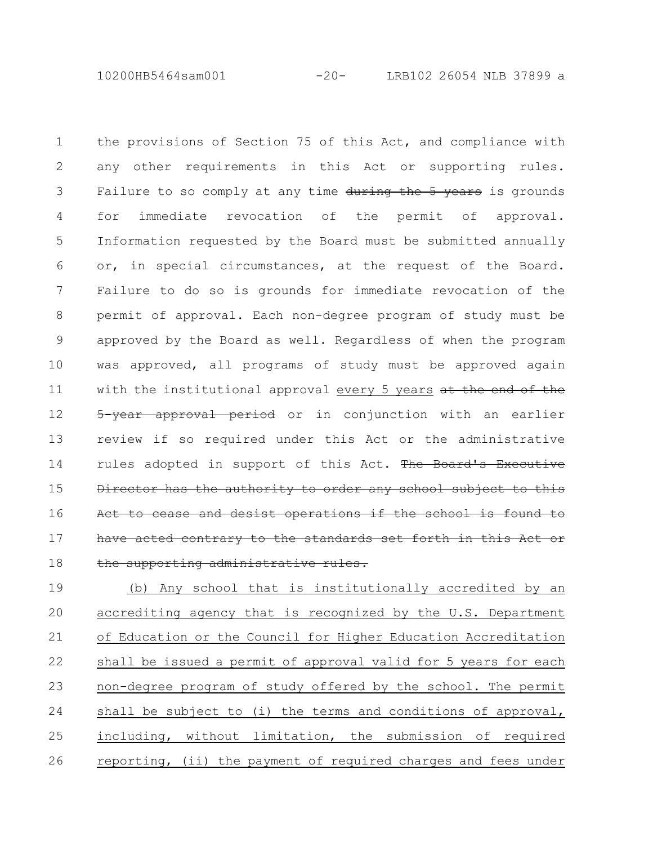10200HB5464sam001 -20- LRB102 26054 NLB 37899 a

the provisions of Section 75 of this Act, and compliance with any other requirements in this Act or supporting rules. Failure to so comply at any time during the 5 years is grounds for immediate revocation of the permit of approval. Information requested by the Board must be submitted annually or, in special circumstances, at the request of the Board. Failure to do so is grounds for immediate revocation of the permit of approval. Each non-degree program of study must be approved by the Board as well. Regardless of when the program was approved, all programs of study must be approved again with the institutional approval every 5 years at the end of the 5-year approval period or in conjunction with an earlier review if so required under this Act or the administrative rules adopted in support of this Act. The Board's Executive rector has the authority to order any school subject Act to cease and desist operations if the school have acted contrary to the standards set forth in this Act the supporting administrative rules. 1 2 3 4 5 6 7 8 9 10 11 12 13 14 15 16 17 18

(b) Any school that is institutionally accredited by an accrediting agency that is recognized by the U.S. Department of Education or the Council for Higher Education Accreditation shall be issued a permit of approval valid for 5 years for each non-degree program of study offered by the school. The permit shall be subject to (i) the terms and conditions of approval, including, without limitation, the submission of required reporting, (ii) the payment of required charges and fees under 19 20 21 22 23 24 25 26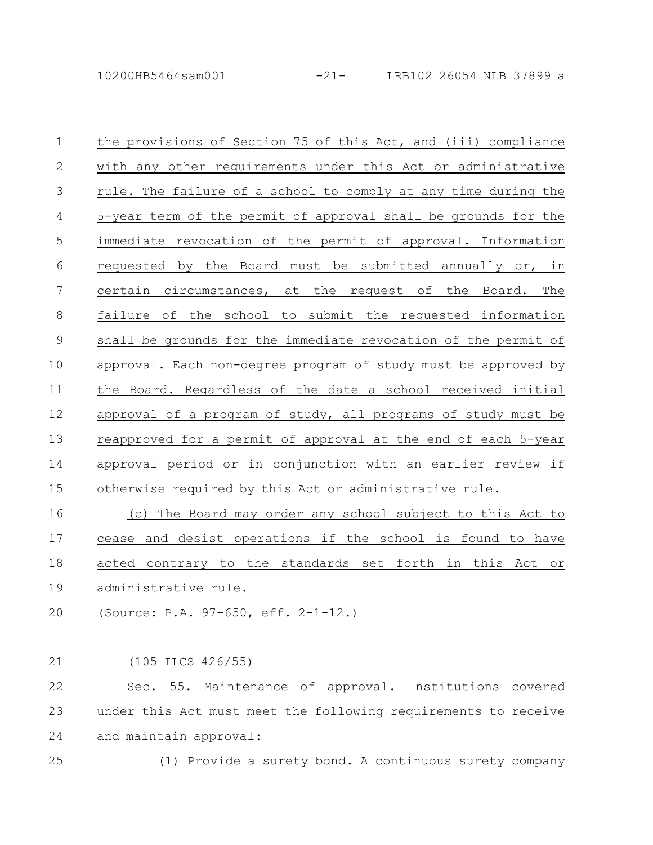the provisions of Section 75 of this Act, and (iii) compliance with any other requirements under this Act or administrative rule. The failure of a school to comply at any time during the 5-year term of the permit of approval shall be grounds for the immediate revocation of the permit of approval. Information requested by the Board must be submitted annually or, in certain circumstances, at the request of the Board. The failure of the school to submit the requested information shall be grounds for the immediate revocation of the permit of approval. Each non-degree program of study must be approved by the Board. Regardless of the date a school received initial approval of a program of study, all programs of study must be reapproved for a permit of approval at the end of each 5-year approval period or in conjunction with an earlier review if otherwise required by this Act or administrative rule. 1 2 3 4 5 6 7 8 9 10 11 12 13 14 15

(c) The Board may order any school subject to this Act to cease and desist operations if the school is found to have acted contrary to the standards set forth in this Act or administrative rule. 16 17 18 19

(Source: P.A. 97-650, eff. 2-1-12.) 20

(105 ILCS 426/55) 21

Sec. 55. Maintenance of approval. Institutions covered under this Act must meet the following requirements to receive and maintain approval: 22 23 24

25

(1) Provide a surety bond. A continuous surety company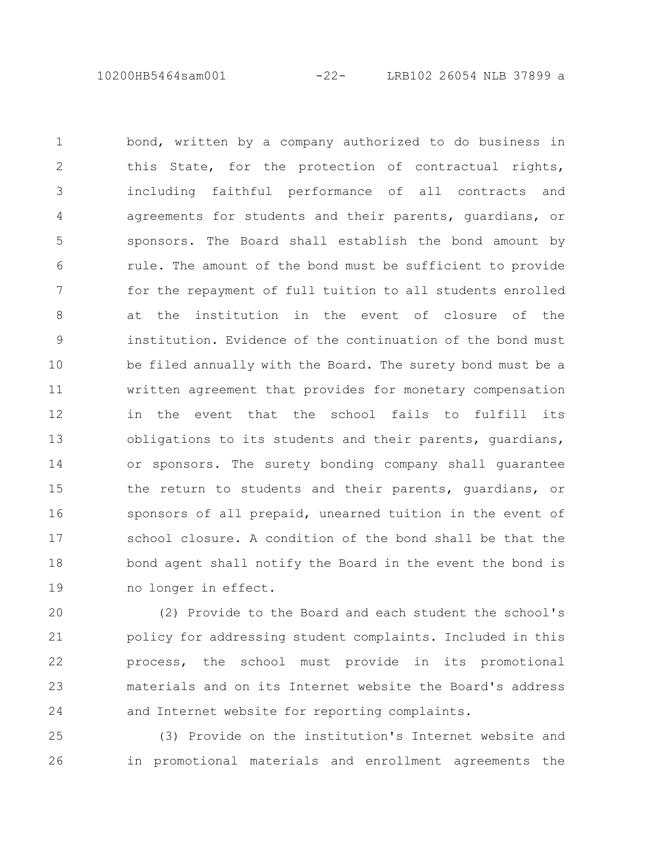10200HB5464sam001 -22- LRB102 26054 NLB 37899 a

bond, written by a company authorized to do business in this State, for the protection of contractual rights, including faithful performance of all contracts and agreements for students and their parents, guardians, or sponsors. The Board shall establish the bond amount by rule. The amount of the bond must be sufficient to provide for the repayment of full tuition to all students enrolled at the institution in the event of closure of the institution. Evidence of the continuation of the bond must be filed annually with the Board. The surety bond must be a written agreement that provides for monetary compensation in the event that the school fails to fulfill its obligations to its students and their parents, guardians, or sponsors. The surety bonding company shall guarantee the return to students and their parents, guardians, or sponsors of all prepaid, unearned tuition in the event of school closure. A condition of the bond shall be that the bond agent shall notify the Board in the event the bond is no longer in effect. 1 2 3 4 5 6 7 8 9 10 11 12 13 14 15 16 17 18 19

(2) Provide to the Board and each student the school's policy for addressing student complaints. Included in this process, the school must provide in its promotional materials and on its Internet website the Board's address and Internet website for reporting complaints. 20 21 22 23 24

(3) Provide on the institution's Internet website and in promotional materials and enrollment agreements the 25 26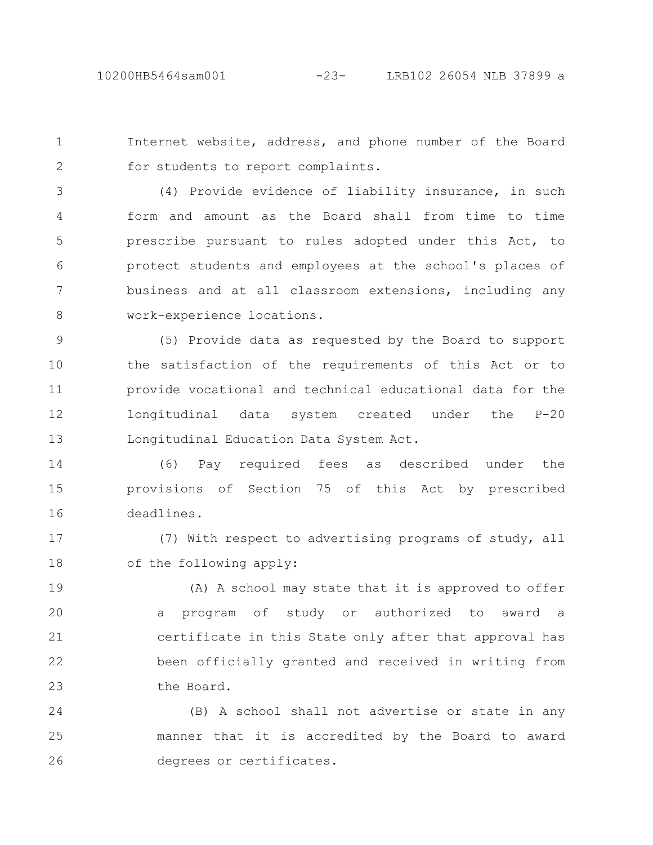Internet website, address, and phone number of the Board for students to report complaints. 1 2

(4) Provide evidence of liability insurance, in such form and amount as the Board shall from time to time prescribe pursuant to rules adopted under this Act, to protect students and employees at the school's places of business and at all classroom extensions, including any work-experience locations. 3 4 5 6 7 8

(5) Provide data as requested by the Board to support the satisfaction of the requirements of this Act or to provide vocational and technical educational data for the longitudinal data system created under the P-20 Longitudinal Education Data System Act. 9 10 11 12 13

(6) Pay required fees as described under the provisions of Section 75 of this Act by prescribed deadlines. 14 15 16

(7) With respect to advertising programs of study, all of the following apply: 17 18

(A) A school may state that it is approved to offer a program of study or authorized to award a certificate in this State only after that approval has been officially granted and received in writing from the Board. 19 20 21 22 23

(B) A school shall not advertise or state in any manner that it is accredited by the Board to award degrees or certificates. 24 25 26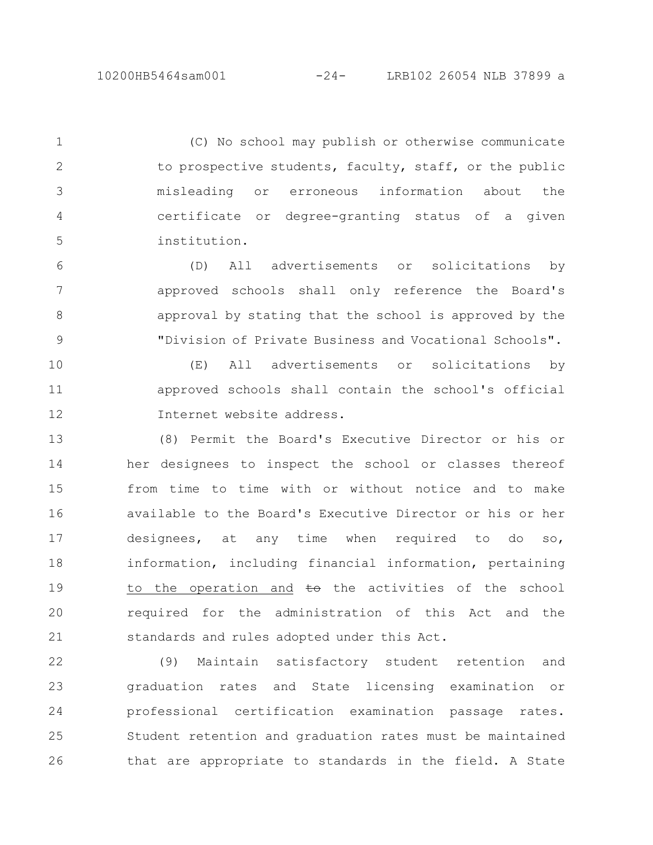(C) No school may publish or otherwise communicate to prospective students, faculty, staff, or the public misleading or erroneous information about the certificate or degree-granting status of a given institution. 1 2 3 4 5

(D) All advertisements or solicitations by approved schools shall only reference the Board's approval by stating that the school is approved by the "Division of Private Business and Vocational Schools". 6 7 8 9

(E) All advertisements or solicitations by approved schools shall contain the school's official Internet website address. 10 11 12

(8) Permit the Board's Executive Director or his or her designees to inspect the school or classes thereof from time to time with or without notice and to make available to the Board's Executive Director or his or her designees, at any time when required to do so, information, including financial information, pertaining to the operation and  $\pm\Theta$  the activities of the school required for the administration of this Act and the standards and rules adopted under this Act. 13 14 15 16 17 18 19 20 21

(9) Maintain satisfactory student retention and graduation rates and State licensing examination or professional certification examination passage rates. Student retention and graduation rates must be maintained that are appropriate to standards in the field. A State 22 23 24 25 26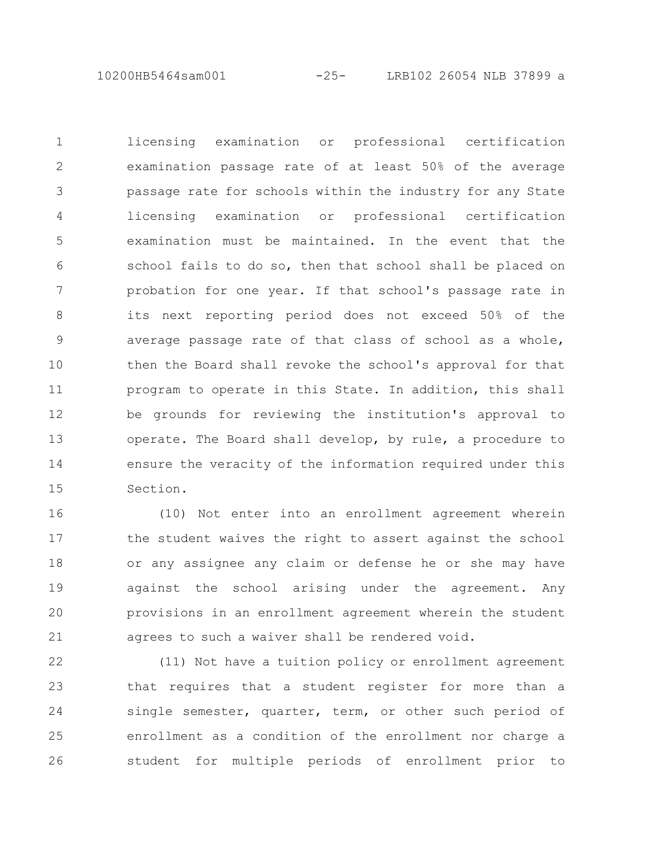10200HB5464sam001 -25- LRB102 26054 NLB 37899 a

licensing examination or professional certification examination passage rate of at least 50% of the average passage rate for schools within the industry for any State licensing examination or professional certification examination must be maintained. In the event that the school fails to do so, then that school shall be placed on probation for one year. If that school's passage rate in its next reporting period does not exceed 50% of the average passage rate of that class of school as a whole, then the Board shall revoke the school's approval for that program to operate in this State. In addition, this shall be grounds for reviewing the institution's approval to operate. The Board shall develop, by rule, a procedure to ensure the veracity of the information required under this Section. 1 2 3 4 5 6 7 8 9 10 11 12 13 14 15

(10) Not enter into an enrollment agreement wherein the student waives the right to assert against the school or any assignee any claim or defense he or she may have against the school arising under the agreement. Any provisions in an enrollment agreement wherein the student agrees to such a waiver shall be rendered void. 16 17 18 19 20 21

(11) Not have a tuition policy or enrollment agreement that requires that a student register for more than a single semester, quarter, term, or other such period of enrollment as a condition of the enrollment nor charge a student for multiple periods of enrollment prior to 22 23 24 25 26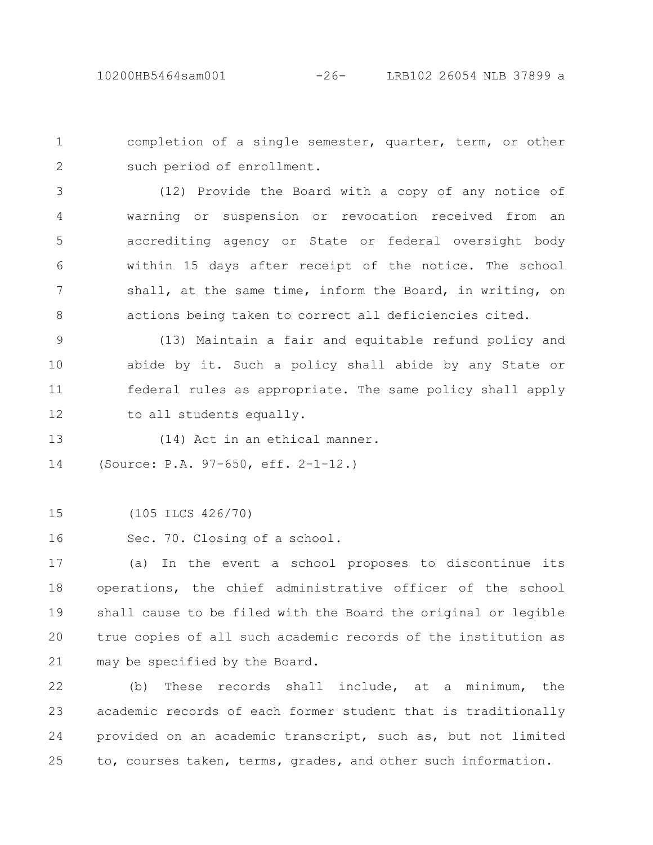completion of a single semester, quarter, term, or other such period of enrollment. 1 2

(12) Provide the Board with a copy of any notice of warning or suspension or revocation received from an accrediting agency or State or federal oversight body within 15 days after receipt of the notice. The school shall, at the same time, inform the Board, in writing, on actions being taken to correct all deficiencies cited. 3 4 5 6 7 8

(13) Maintain a fair and equitable refund policy and abide by it. Such a policy shall abide by any State or federal rules as appropriate. The same policy shall apply to all students equally. 9 10 11 12

(14) Act in an ethical manner. 13

(Source: P.A. 97-650, eff. 2-1-12.) 14

(105 ILCS 426/70) 15

Sec. 70. Closing of a school. 16

(a) In the event a school proposes to discontinue its operations, the chief administrative officer of the school shall cause to be filed with the Board the original or legible true copies of all such academic records of the institution as may be specified by the Board. 17 18 19  $20$ 21

(b) These records shall include, at a minimum, the academic records of each former student that is traditionally provided on an academic transcript, such as, but not limited to, courses taken, terms, grades, and other such information. 22 23 24 25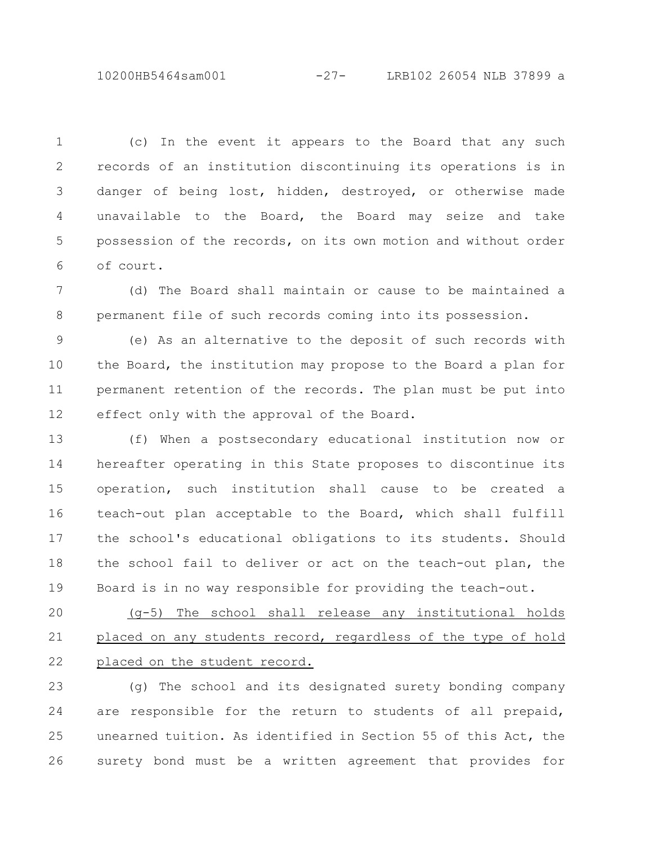10200HB5464sam001 -27- LRB102 26054 NLB 37899 a

(c) In the event it appears to the Board that any such records of an institution discontinuing its operations is in danger of being lost, hidden, destroyed, or otherwise made unavailable to the Board, the Board may seize and take possession of the records, on its own motion and without order of court. 1 2 3 4 5 6

(d) The Board shall maintain or cause to be maintained a permanent file of such records coming into its possession. 7 8

(e) As an alternative to the deposit of such records with the Board, the institution may propose to the Board a plan for permanent retention of the records. The plan must be put into effect only with the approval of the Board. 9 10 11 12

(f) When a postsecondary educational institution now or hereafter operating in this State proposes to discontinue its operation, such institution shall cause to be created a teach-out plan acceptable to the Board, which shall fulfill the school's educational obligations to its students. Should the school fail to deliver or act on the teach-out plan, the Board is in no way responsible for providing the teach-out. 13 14 15 16 17 18 19

(g-5) The school shall release any institutional holds placed on any students record, regardless of the type of hold placed on the student record. 20 21 22

(g) The school and its designated surety bonding company are responsible for the return to students of all prepaid, unearned tuition. As identified in Section 55 of this Act, the surety bond must be a written agreement that provides for 23 24 25 26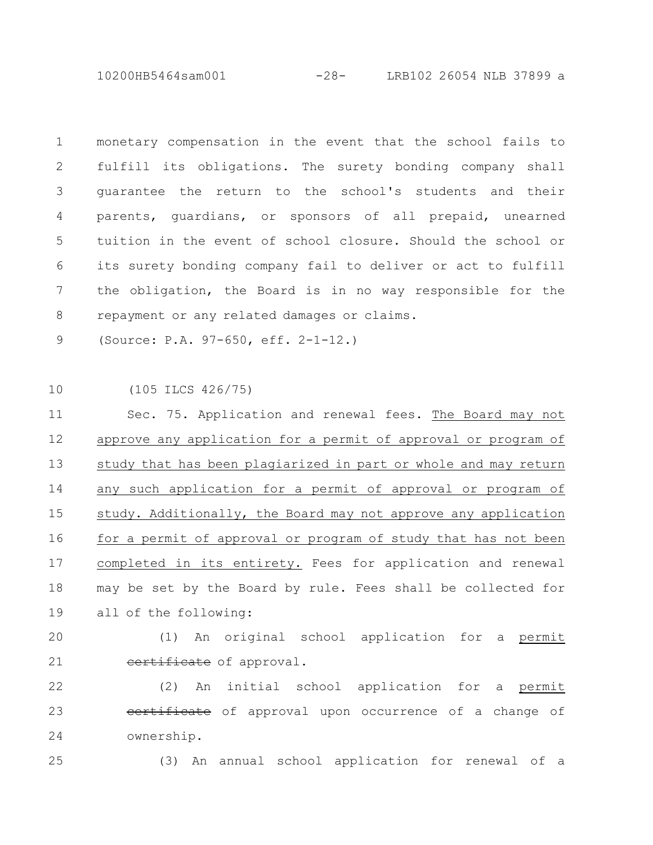10200HB5464sam001 -28- LRB102 26054 NLB 37899 a

monetary compensation in the event that the school fails to fulfill its obligations. The surety bonding company shall guarantee the return to the school's students and their parents, guardians, or sponsors of all prepaid, unearned tuition in the event of school closure. Should the school or its surety bonding company fail to deliver or act to fulfill the obligation, the Board is in no way responsible for the repayment or any related damages or claims. 1 2 3 4 5 6 7 8

(Source: P.A. 97-650, eff. 2-1-12.) 9

(105 ILCS 426/75) 10

Sec. 75. Application and renewal fees. The Board may not approve any application for a permit of approval or program of study that has been plagiarized in part or whole and may return any such application for a permit of approval or program of study. Additionally, the Board may not approve any application for a permit of approval or program of study that has not been completed in its entirety. Fees for application and renewal may be set by the Board by rule. Fees shall be collected for all of the following: 11 12 13 14 15 16 17 18 19

 $20$ 

21

(1) An original school application for a permit certificate of approval.

(2) An initial school application for a permit eertificate of approval upon occurrence of a change of ownership. 22 23 24

25

(3) An annual school application for renewal of a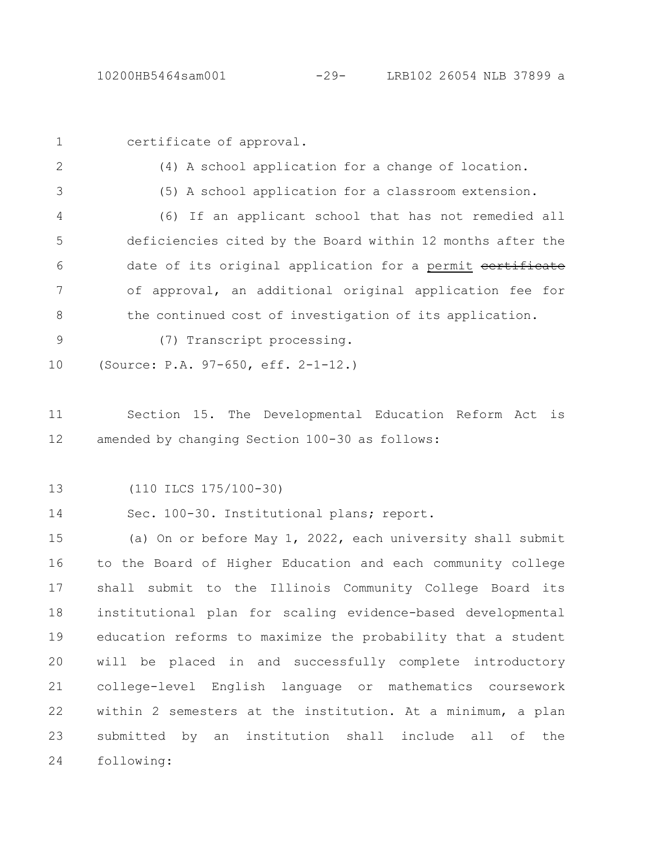1

certificate of approval.

2

(4) A school application for a change of location.

3

(5) A school application for a classroom extension.

(6) If an applicant school that has not remedied all deficiencies cited by the Board within 12 months after the date of its original application for a permit certificate of approval, an additional original application fee for the continued cost of investigation of its application. 4 5 6 7 8

- (7) Transcript processing. 9
- (Source: P.A. 97-650, eff. 2-1-12.) 10

Section 15. The Developmental Education Reform Act is amended by changing Section 100-30 as follows: 11 12

(110 ILCS 175/100-30) 13

Sec. 100-30. Institutional plans; report. 14

(a) On or before May 1, 2022, each university shall submit to the Board of Higher Education and each community college shall submit to the Illinois Community College Board its institutional plan for scaling evidence-based developmental education reforms to maximize the probability that a student will be placed in and successfully complete introductory college-level English language or mathematics coursework within 2 semesters at the institution. At a minimum, a plan submitted by an institution shall include all of the following: 15 16 17 18 19 20 21 22 23 24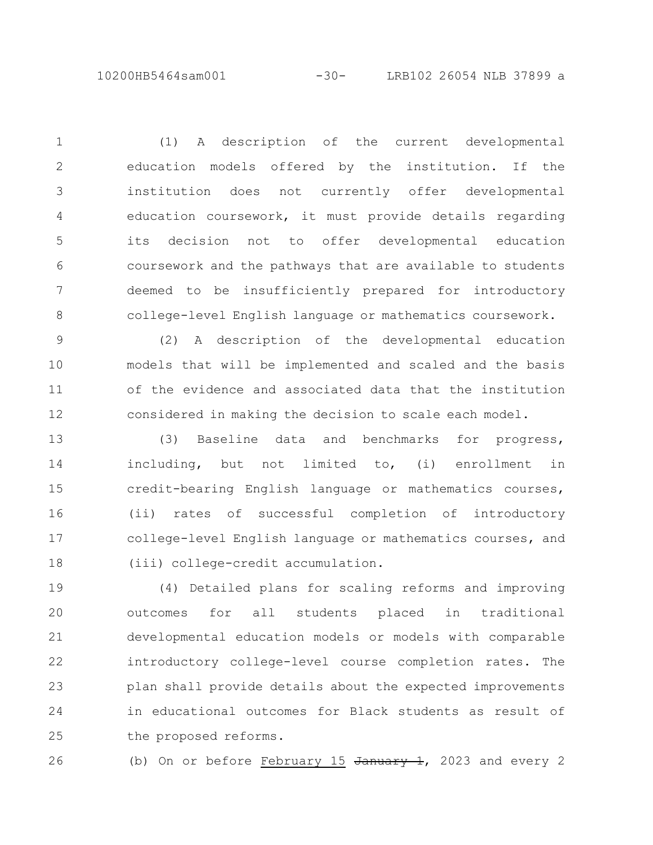10200HB5464sam001 -30- LRB102 26054 NLB 37899 a

(1) A description of the current developmental education models offered by the institution. If the institution does not currently offer developmental education coursework, it must provide details regarding its decision not to offer developmental education coursework and the pathways that are available to students deemed to be insufficiently prepared for introductory college-level English language or mathematics coursework. 1 2 3 4 5 6 7 8

(2) A description of the developmental education models that will be implemented and scaled and the basis of the evidence and associated data that the institution considered in making the decision to scale each model. 9 10 11 12

(3) Baseline data and benchmarks for progress, including, but not limited to, (i) enrollment in credit-bearing English language or mathematics courses, (ii) rates of successful completion of introductory college-level English language or mathematics courses, and (iii) college-credit accumulation. 13 14 15 16 17 18

(4) Detailed plans for scaling reforms and improving outcomes for all students placed in traditional developmental education models or models with comparable introductory college-level course completion rates. The plan shall provide details about the expected improvements in educational outcomes for Black students as result of the proposed reforms. 19 20 21 22 23 24 25

26

(b) On or before February  $15$  January 1, 2023 and every 2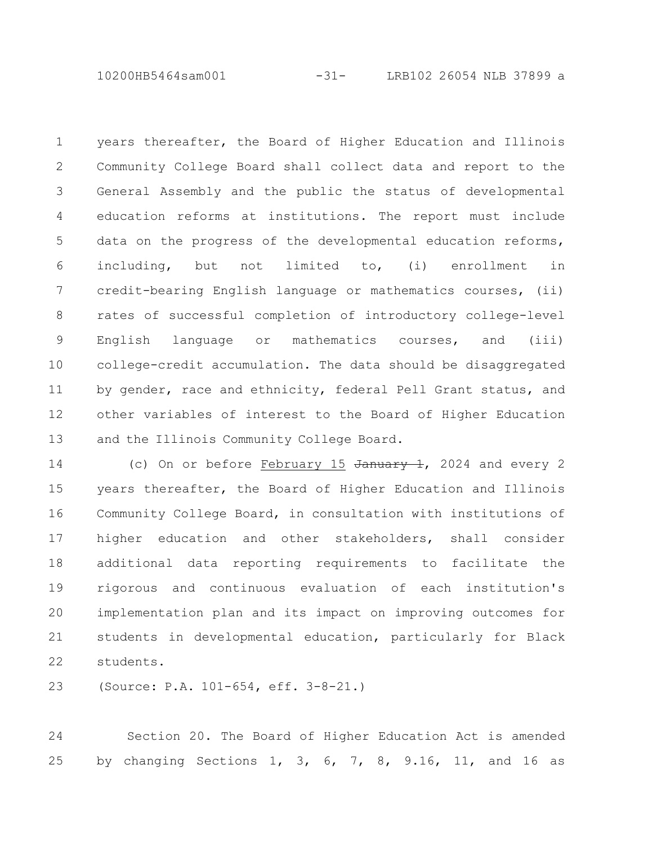10200HB5464sam001 -31- LRB102 26054 NLB 37899 a

years thereafter, the Board of Higher Education and Illinois Community College Board shall collect data and report to the General Assembly and the public the status of developmental education reforms at institutions. The report must include data on the progress of the developmental education reforms, including, but not limited to, (i) enrollment in credit-bearing English language or mathematics courses, (ii) rates of successful completion of introductory college-level English language or mathematics courses, and (iii) college-credit accumulation. The data should be disaggregated by gender, race and ethnicity, federal Pell Grant status, and other variables of interest to the Board of Higher Education and the Illinois Community College Board. 1 2 3 4 5 6 7 8 9 10 11 12 13

(c) On or before February 15 January 1, 2024 and every 2 years thereafter, the Board of Higher Education and Illinois Community College Board, in consultation with institutions of higher education and other stakeholders, shall consider additional data reporting requirements to facilitate the rigorous and continuous evaluation of each institution's implementation plan and its impact on improving outcomes for students in developmental education, particularly for Black students. 14 15 16 17 18 19 20 21 22

(Source: P.A. 101-654, eff. 3-8-21.) 23

Section 20. The Board of Higher Education Act is amended by changing Sections 1, 3, 6, 7, 8, 9.16, 11, and 16 as 24 25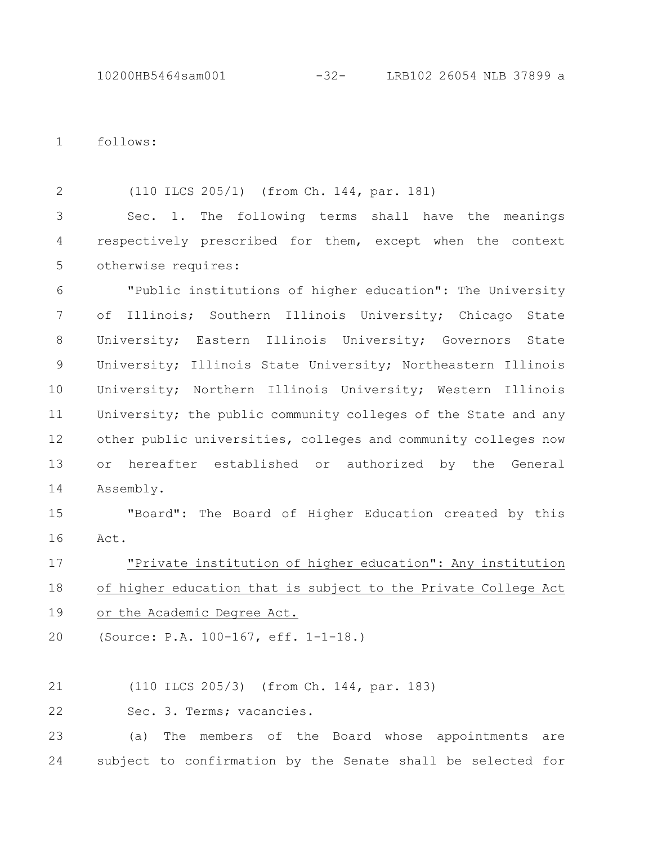follows: 1

(110 ILCS 205/1) (from Ch. 144, par. 181) 2

Sec. 1. The following terms shall have the meanings respectively prescribed for them, except when the context otherwise requires: 3 4 5

"Public institutions of higher education": The University of Illinois; Southern Illinois University; Chicago State University; Eastern Illinois University; Governors State University; Illinois State University; Northeastern Illinois University; Northern Illinois University; Western Illinois University; the public community colleges of the State and any other public universities, colleges and community colleges now or hereafter established or authorized by the General Assembly. 6 7 8 9 10 11 12 13 14

"Board": The Board of Higher Education created by this Act. 15 16

"Private institution of higher education": Any institution of higher education that is subject to the Private College Act or the Academic Degree Act. 17 18 19

(Source: P.A. 100-167, eff. 1-1-18.) 20

(110 ILCS 205/3) (from Ch. 144, par. 183) 21

Sec. 3. Terms; vacancies. 22

(a) The members of the Board whose appointments are subject to confirmation by the Senate shall be selected for 23 24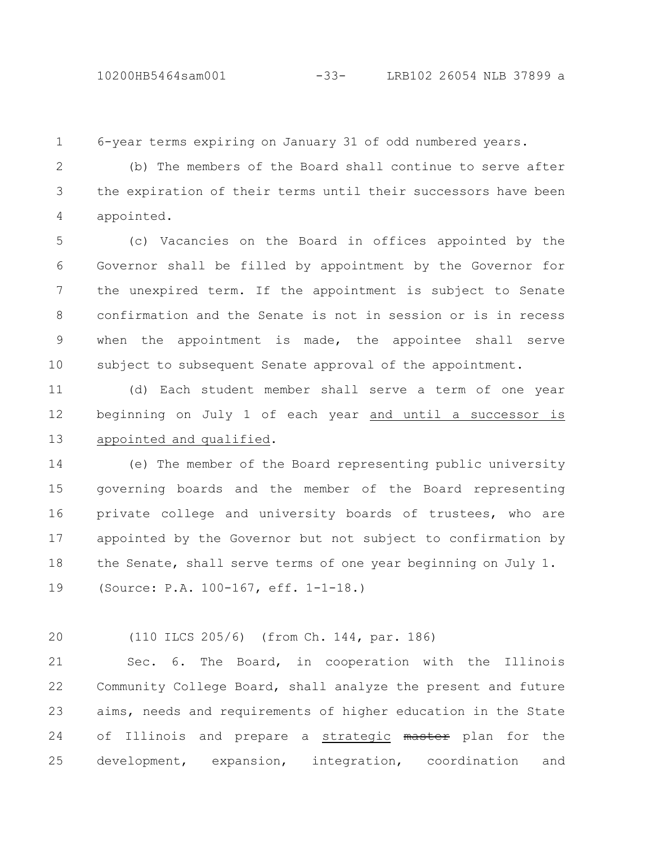## 10200HB5464sam001 -33- LRB102 26054 NLB 37899 a

6-year terms expiring on January 31 of odd numbered years. 1

(b) The members of the Board shall continue to serve after the expiration of their terms until their successors have been appointed. 2 3 4

(c) Vacancies on the Board in offices appointed by the Governor shall be filled by appointment by the Governor for the unexpired term. If the appointment is subject to Senate confirmation and the Senate is not in session or is in recess when the appointment is made, the appointee shall serve subject to subsequent Senate approval of the appointment. 5 6 7 8 9 10

(d) Each student member shall serve a term of one year beginning on July 1 of each year and until a successor is appointed and qualified. 11 12 13

(e) The member of the Board representing public university governing boards and the member of the Board representing private college and university boards of trustees, who are appointed by the Governor but not subject to confirmation by the Senate, shall serve terms of one year beginning on July 1. (Source: P.A. 100-167, eff. 1-1-18.) 14 15 16 17 18 19

(110 ILCS 205/6) (from Ch. 144, par. 186)  $20$ 

Sec. 6. The Board, in cooperation with the Illinois Community College Board, shall analyze the present and future aims, needs and requirements of higher education in the State of Illinois and prepare a strategic master plan for the development, expansion, integration, coordination and 21 22 23 24 25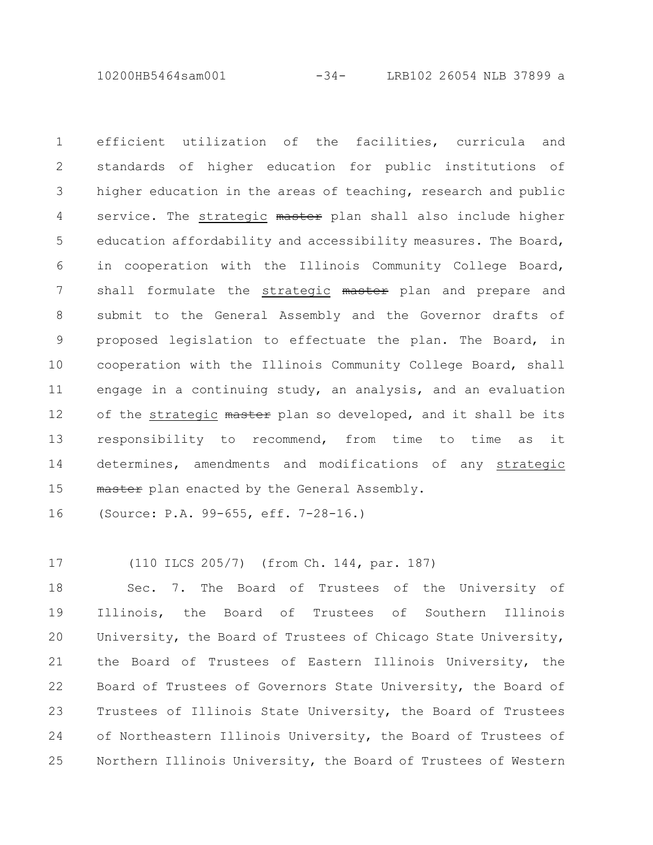10200HB5464sam001 -34- LRB102 26054 NLB 37899 a

efficient utilization of the facilities, curricula and standards of higher education for public institutions of higher education in the areas of teaching, research and public service. The strategic master plan shall also include higher education affordability and accessibility measures. The Board, in cooperation with the Illinois Community College Board, shall formulate the strategic master plan and prepare and submit to the General Assembly and the Governor drafts of proposed legislation to effectuate the plan. The Board, in cooperation with the Illinois Community College Board, shall engage in a continuing study, an analysis, and an evaluation of the strategic master plan so developed, and it shall be its responsibility to recommend, from time to time as it determines, amendments and modifications of any strategic master plan enacted by the General Assembly. 1 2 3 4 5 6 7 8 9 10 11 12 13 14 15

(Source: P.A. 99-655, eff. 7-28-16.) 16

(110 ILCS 205/7) (from Ch. 144, par. 187) 17

Sec. 7. The Board of Trustees of the University of Illinois, the Board of Trustees of Southern Illinois University, the Board of Trustees of Chicago State University, the Board of Trustees of Eastern Illinois University, the Board of Trustees of Governors State University, the Board of Trustees of Illinois State University, the Board of Trustees of Northeastern Illinois University, the Board of Trustees of Northern Illinois University, the Board of Trustees of Western 18 19 20 21 22 23 24 25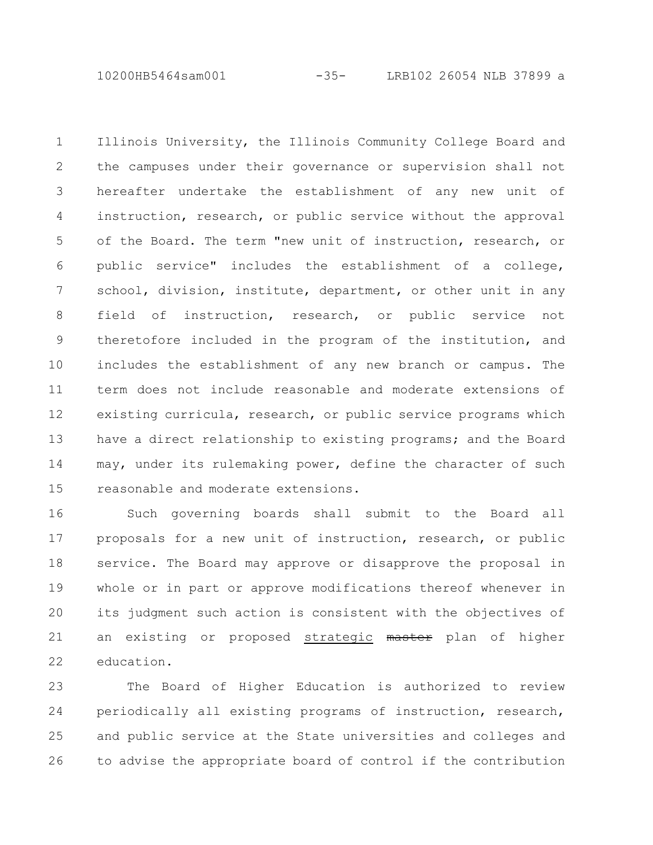10200HB5464sam001 -35- LRB102 26054 NLB 37899 a

Illinois University, the Illinois Community College Board and the campuses under their governance or supervision shall not hereafter undertake the establishment of any new unit of instruction, research, or public service without the approval of the Board. The term "new unit of instruction, research, or public service" includes the establishment of a college, school, division, institute, department, or other unit in any field of instruction, research, or public service not theretofore included in the program of the institution, and includes the establishment of any new branch or campus. The term does not include reasonable and moderate extensions of existing curricula, research, or public service programs which have a direct relationship to existing programs; and the Board may, under its rulemaking power, define the character of such reasonable and moderate extensions. 1 2 3 4 5 6 7 8 9 10 11 12 13 14 15

Such governing boards shall submit to the Board all proposals for a new unit of instruction, research, or public service. The Board may approve or disapprove the proposal in whole or in part or approve modifications thereof whenever in its judgment such action is consistent with the objectives of an existing or proposed strategic master plan of higher education. 16 17 18 19 20 21 22

The Board of Higher Education is authorized to review periodically all existing programs of instruction, research, and public service at the State universities and colleges and to advise the appropriate board of control if the contribution 23 24 25 26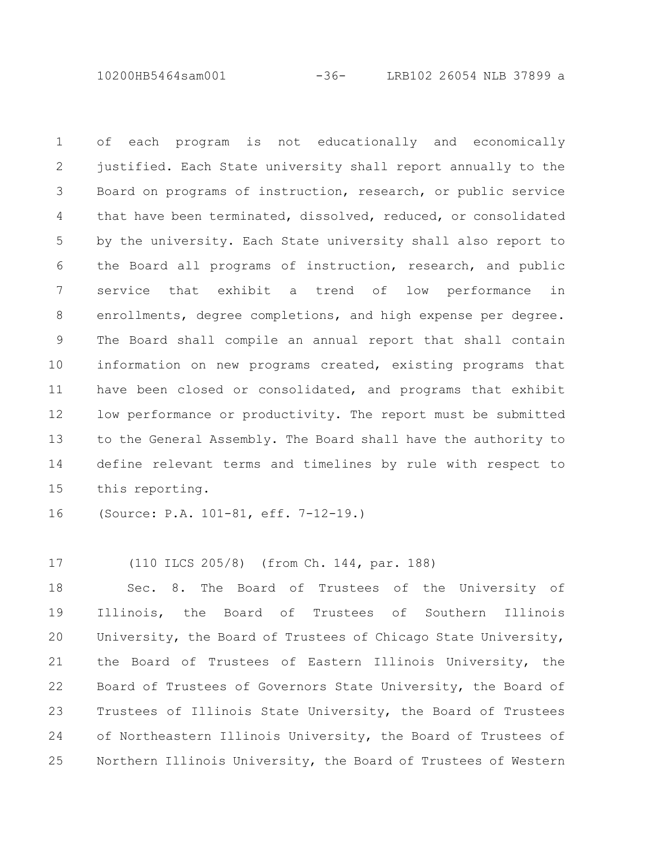10200HB5464sam001 -36- LRB102 26054 NLB 37899 a

of each program is not educationally and economically justified. Each State university shall report annually to the Board on programs of instruction, research, or public service that have been terminated, dissolved, reduced, or consolidated by the university. Each State university shall also report to the Board all programs of instruction, research, and public service that exhibit a trend of low performance in enrollments, degree completions, and high expense per degree. The Board shall compile an annual report that shall contain information on new programs created, existing programs that have been closed or consolidated, and programs that exhibit low performance or productivity. The report must be submitted to the General Assembly. The Board shall have the authority to define relevant terms and timelines by rule with respect to this reporting. 1 2 3 4 5 6 7 8 9 10 11 12 13 14 15

(Source: P.A. 101-81, eff. 7-12-19.) 16

(110 ILCS 205/8) (from Ch. 144, par. 188) 17

Sec. 8. The Board of Trustees of the University of Illinois, the Board of Trustees of Southern Illinois University, the Board of Trustees of Chicago State University, the Board of Trustees of Eastern Illinois University, the Board of Trustees of Governors State University, the Board of Trustees of Illinois State University, the Board of Trustees of Northeastern Illinois University, the Board of Trustees of Northern Illinois University, the Board of Trustees of Western 18 19 20 21 22 23 24 25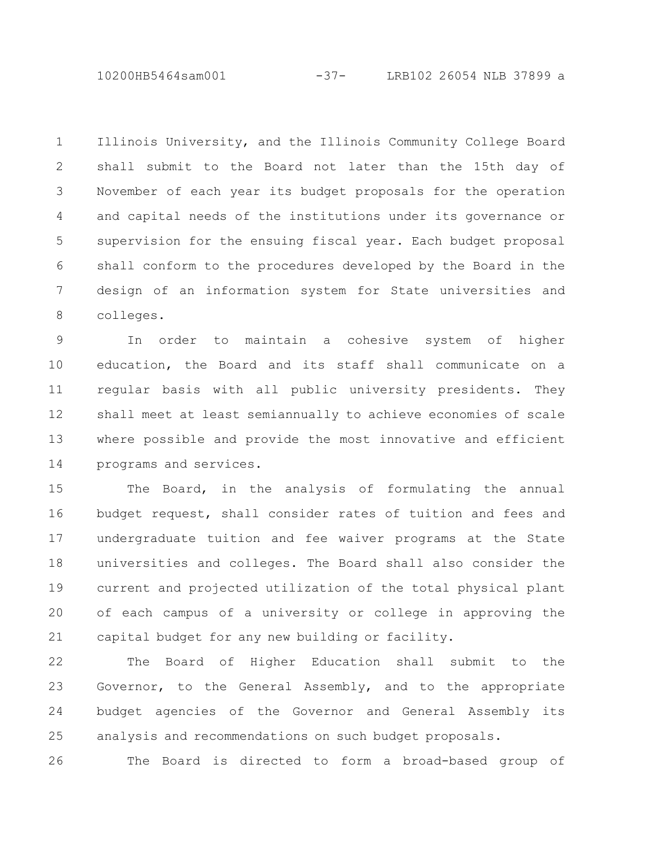10200HB5464sam001 -37- LRB102 26054 NLB 37899 a

Illinois University, and the Illinois Community College Board shall submit to the Board not later than the 15th day of November of each year its budget proposals for the operation and capital needs of the institutions under its governance or supervision for the ensuing fiscal year. Each budget proposal shall conform to the procedures developed by the Board in the design of an information system for State universities and colleges. 1 2 3 4 5 6 7 8

In order to maintain a cohesive system of higher education, the Board and its staff shall communicate on a regular basis with all public university presidents. They shall meet at least semiannually to achieve economies of scale where possible and provide the most innovative and efficient programs and services. 9 10 11 12 13 14

The Board, in the analysis of formulating the annual budget request, shall consider rates of tuition and fees and undergraduate tuition and fee waiver programs at the State universities and colleges. The Board shall also consider the current and projected utilization of the total physical plant of each campus of a university or college in approving the capital budget for any new building or facility. 15 16 17 18 19 20 21

The Board of Higher Education shall submit to the Governor, to the General Assembly, and to the appropriate budget agencies of the Governor and General Assembly its analysis and recommendations on such budget proposals. 22 23 24 25

The Board is directed to form a broad-based group of 26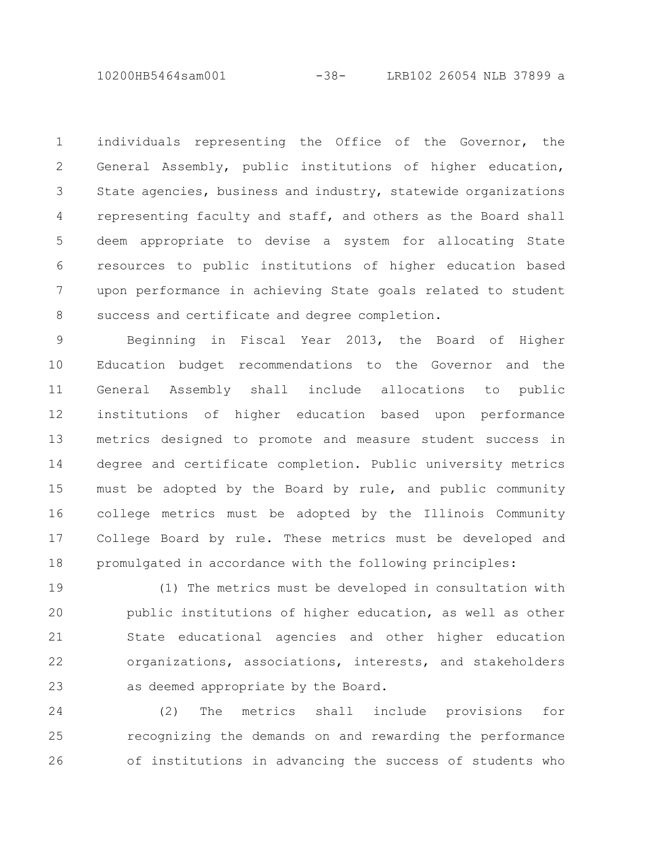10200HB5464sam001 -38- LRB102 26054 NLB 37899 a

individuals representing the Office of the Governor, the General Assembly, public institutions of higher education, State agencies, business and industry, statewide organizations representing faculty and staff, and others as the Board shall deem appropriate to devise a system for allocating State resources to public institutions of higher education based upon performance in achieving State goals related to student success and certificate and degree completion. 1 2 3 4 5 6 7 8

Beginning in Fiscal Year 2013, the Board of Higher Education budget recommendations to the Governor and the General Assembly shall include allocations to public institutions of higher education based upon performance metrics designed to promote and measure student success in degree and certificate completion. Public university metrics must be adopted by the Board by rule, and public community college metrics must be adopted by the Illinois Community College Board by rule. These metrics must be developed and promulgated in accordance with the following principles: 9 10 11 12 13 14 15 16 17 18

(1) The metrics must be developed in consultation with public institutions of higher education, as well as other State educational agencies and other higher education organizations, associations, interests, and stakeholders as deemed appropriate by the Board. 19 20 21 22 23

(2) The metrics shall include provisions for recognizing the demands on and rewarding the performance of institutions in advancing the success of students who 24 25 26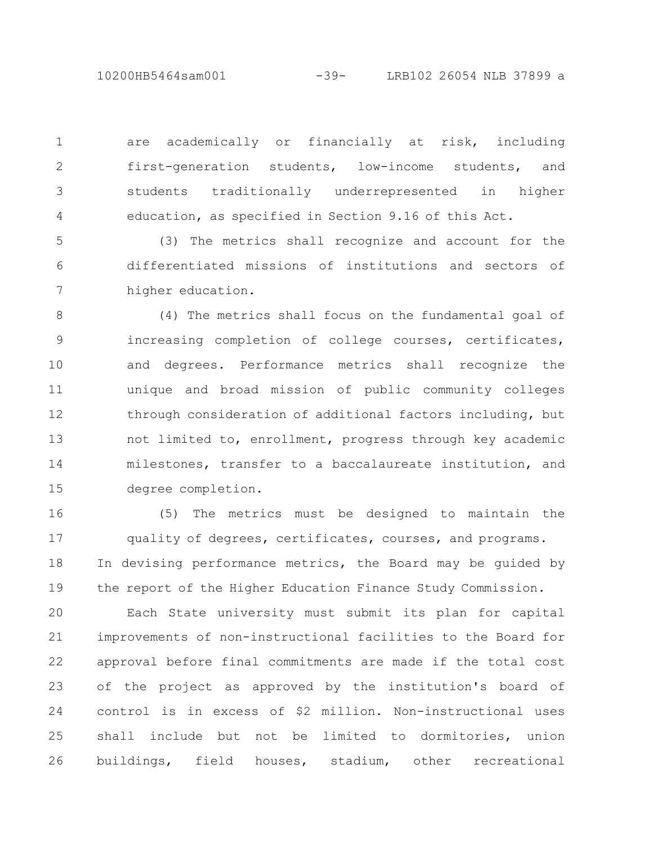10200HB5464sam001 -39- LRB102 26054 NLB 37899 a

are academically or financially at risk, including first-generation students, low-income students, and students traditionally underrepresented in higher education, as specified in Section 9.16 of this Act.

1

2

3

4

(3) The metrics shall recognize and account for the differentiated missions of institutions and sectors of higher education. 5 6 7

(4) The metrics shall focus on the fundamental goal of increasing completion of college courses, certificates, and degrees. Performance metrics shall recognize the unique and broad mission of public community colleges through consideration of additional factors including, but not limited to, enrollment, progress through key academic milestones, transfer to a baccalaureate institution, and degree completion. 8 9 10 11 12 13 14 15

(5) The metrics must be designed to maintain the quality of degrees, certificates, courses, and programs. In devising performance metrics, the Board may be guided by the report of the Higher Education Finance Study Commission. 16 17 18 19

Each State university must submit its plan for capital improvements of non-instructional facilities to the Board for approval before final commitments are made if the total cost of the project as approved by the institution's board of control is in excess of \$2 million. Non-instructional uses shall include but not be limited to dormitories, union buildings, field houses, stadium, other recreational 20 21 22 23 24 25 26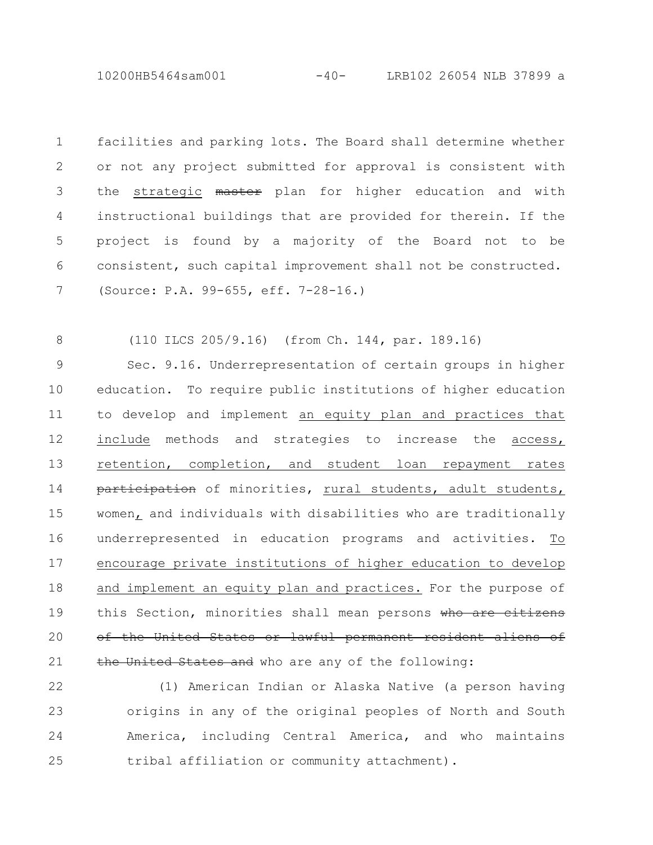10200HB5464sam001 -40- LRB102 26054 NLB 37899 a

facilities and parking lots. The Board shall determine whether or not any project submitted for approval is consistent with the strategic master plan for higher education and with instructional buildings that are provided for therein. If the project is found by a majority of the Board not to be consistent, such capital improvement shall not be constructed. (Source: P.A. 99-655, eff. 7-28-16.) 1 2 3 4 5 6 7

(110 ILCS 205/9.16) (from Ch. 144, par. 189.16) 8

Sec. 9.16. Underrepresentation of certain groups in higher education. To require public institutions of higher education to develop and implement an equity plan and practices that include methods and strategies to increase the access, retention, completion, and student loan repayment rates participation of minorities, rural students, adult students, women, and individuals with disabilities who are traditionally underrepresented in education programs and activities. To encourage private institutions of higher education to develop and implement an equity plan and practices. For the purpose of this Section, minorities shall mean persons who are citizens of the United States or lawful permanent resident aliens of the United States and who are any of the following: 9 10 11 12 13 14 15 16 17 18 19 20 21

(1) American Indian or Alaska Native (a person having origins in any of the original peoples of North and South America, including Central America, and who maintains tribal affiliation or community attachment). 22 23 24 25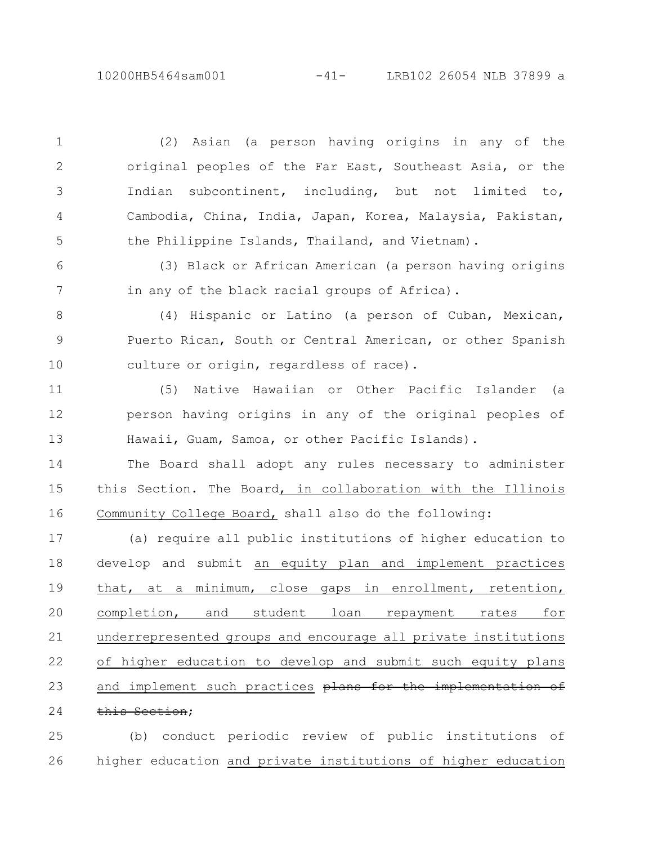(2) Asian (a person having origins in any of the original peoples of the Far East, Southeast Asia, or the Indian subcontinent, including, but not limited to, Cambodia, China, India, Japan, Korea, Malaysia, Pakistan, the Philippine Islands, Thailand, and Vietnam). 1 2 3 4 5

(3) Black or African American (a person having origins in any of the black racial groups of Africa). 6 7

(4) Hispanic or Latino (a person of Cuban, Mexican, Puerto Rican, South or Central American, or other Spanish culture or origin, regardless of race). 8 9 10

(5) Native Hawaiian or Other Pacific Islander (a person having origins in any of the original peoples of Hawaii, Guam, Samoa, or other Pacific Islands). 11 12 13

The Board shall adopt any rules necessary to administer this Section. The Board, in collaboration with the Illinois Community College Board, shall also do the following: 14 15 16

(a) require all public institutions of higher education to develop and submit an equity plan and implement practices that, at a minimum, close gaps in enrollment, retention, completion, and student loan repayment rates for underrepresented groups and encourage all private institutions of higher education to develop and submit such equity plans and implement such practices plans for the implementation of this Section; 17 18 19 20 21 22 23 24

(b) conduct periodic review of public institutions of higher education and private institutions of higher education 25 26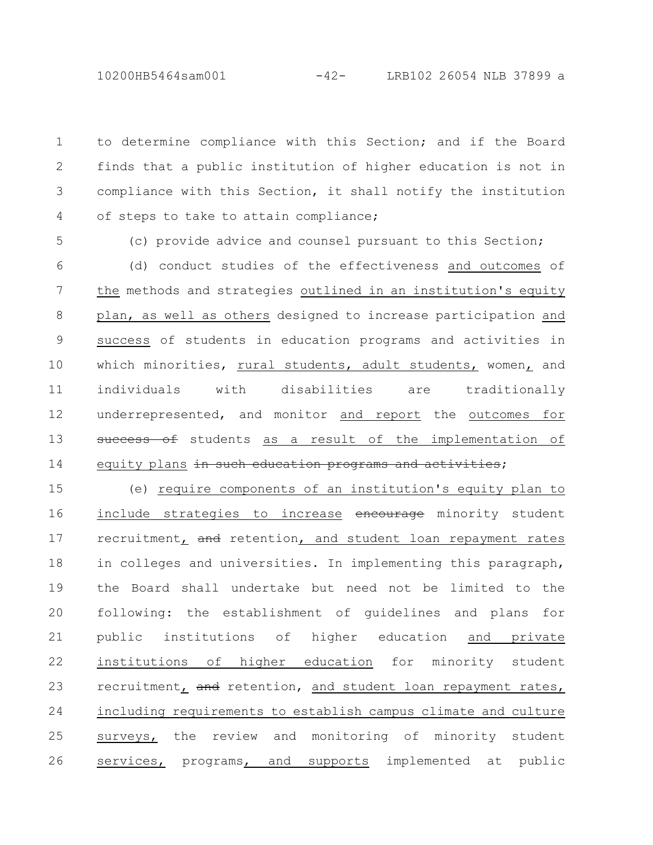10200HB5464sam001 -42- LRB102 26054 NLB 37899 a

to determine compliance with this Section; and if the Board finds that a public institution of higher education is not in compliance with this Section, it shall notify the institution of steps to take to attain compliance; 1 2 3 4

5

(c) provide advice and counsel pursuant to this Section;

(d) conduct studies of the effectiveness and outcomes of the methods and strategies outlined in an institution's equity plan, as well as others designed to increase participation and success of students in education programs and activities in which minorities, rural students, adult students, women, and individuals with disabilities are traditionally underrepresented, and monitor and report the outcomes for success of students as a result of the implementation of equity plans in such education programs and activities; 6 7 8 9 10 11 12 13 14

(e) require components of an institution's equity plan to include strategies to increase encourage minority student recruitment, and retention, and student loan repayment rates in colleges and universities. In implementing this paragraph, the Board shall undertake but need not be limited to the following: the establishment of guidelines and plans for public institutions of higher education and private institutions of higher education for minority student recruitment, and retention, and student loan repayment rates, including requirements to establish campus climate and culture surveys, the review and monitoring of minority student services, programs, and supports implemented at public 15 16 17 18 19 20 21 22 23 24 25 26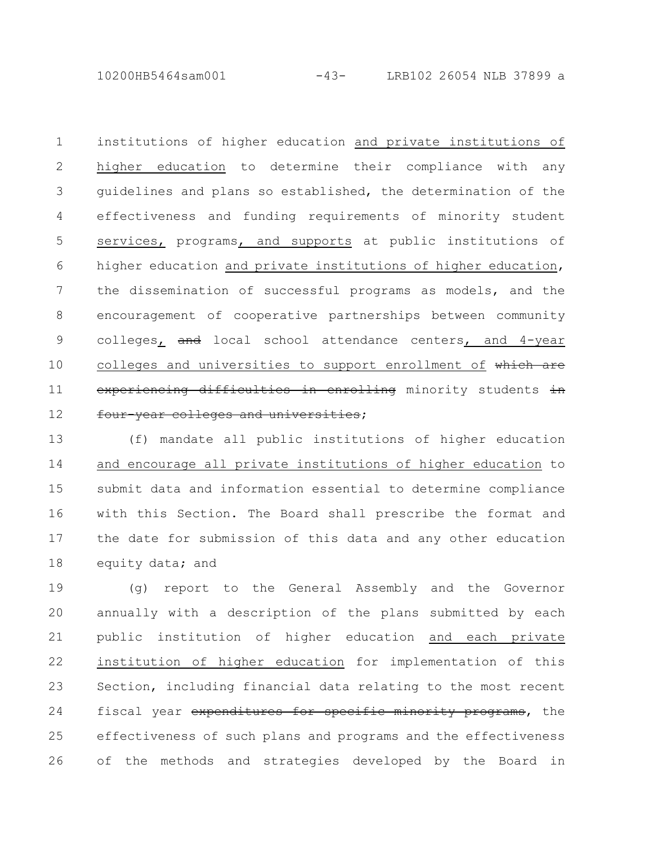10200HB5464sam001 -43- LRB102 26054 NLB 37899 a

institutions of higher education and private institutions of higher education to determine their compliance with any guidelines and plans so established, the determination of the effectiveness and funding requirements of minority student services, programs, and supports at public institutions of higher education and private institutions of higher education, the dissemination of successful programs as models, and the encouragement of cooperative partnerships between community colleges, and local school attendance centers, and 4-year colleges and universities to support enrollment of which are experiencing difficulties in enrolling minority students in four-year colleges and universities; 1 2 3 4 5 6 7 8 9 10 11 12

(f) mandate all public institutions of higher education and encourage all private institutions of higher education to submit data and information essential to determine compliance with this Section. The Board shall prescribe the format and the date for submission of this data and any other education equity data; and 13 14 15 16 17 18

(g) report to the General Assembly and the Governor annually with a description of the plans submitted by each public institution of higher education and each private institution of higher education for implementation of this Section, including financial data relating to the most recent fiscal year expenditures for specific minority programs, the effectiveness of such plans and programs and the effectiveness of the methods and strategies developed by the Board in 19 20 21 22 23 24 25 26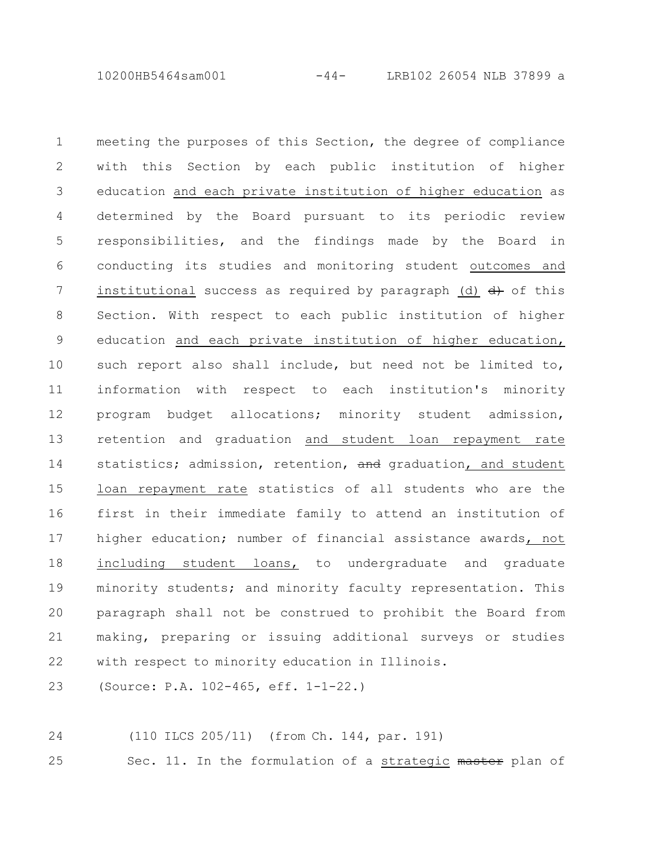10200HB5464sam001 -44- LRB102 26054 NLB 37899 a

meeting the purposes of this Section, the degree of compliance with this Section by each public institution of higher education and each private institution of higher education as determined by the Board pursuant to its periodic review responsibilities, and the findings made by the Board in conducting its studies and monitoring student outcomes and institutional success as required by paragraph (d)  $\frac{d}{dx}$  of this Section. With respect to each public institution of higher education and each private institution of higher education, such report also shall include, but need not be limited to, information with respect to each institution's minority program budget allocations; minority student admission, retention and graduation and student loan repayment rate statistics; admission, retention, and graduation, and student loan repayment rate statistics of all students who are the first in their immediate family to attend an institution of higher education; number of financial assistance awards, not including student loans, to undergraduate and graduate minority students; and minority faculty representation. This paragraph shall not be construed to prohibit the Board from making, preparing or issuing additional surveys or studies with respect to minority education in Illinois. 1 2 3 4 5 6 7 8 9 10 11 12 13 14 15 16 17 18 19 20 21 22

(Source: P.A. 102-465, eff. 1-1-22.) 23

(110 ILCS 205/11) (from Ch. 144, par. 191) 24

Sec. 11. In the formulation of a strategic master plan of 25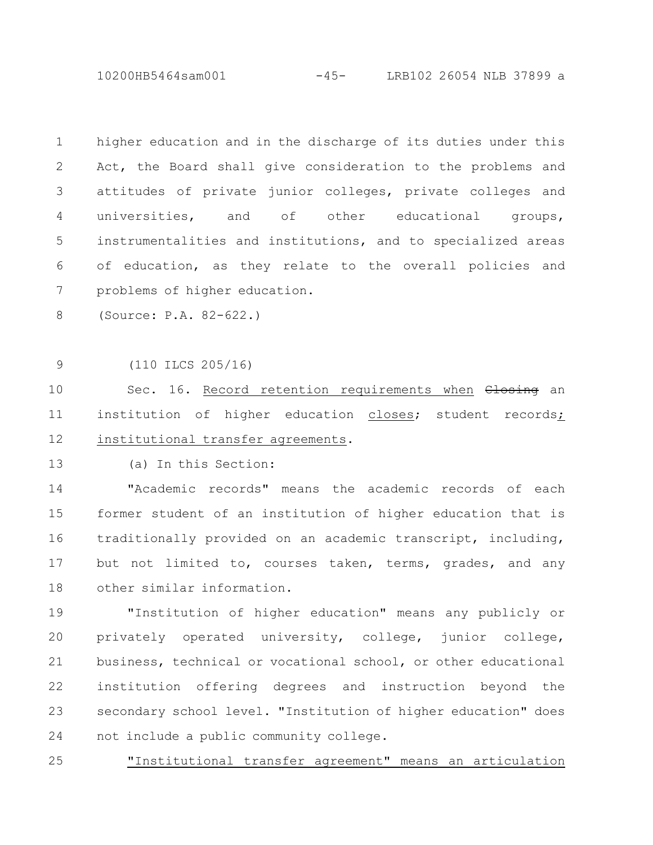10200HB5464sam001 -45- LRB102 26054 NLB 37899 a

| $\mathbf 1$    | higher education and in the discharge of its duties under this |
|----------------|----------------------------------------------------------------|
| $\mathbf{2}$   | Act, the Board shall give consideration to the problems and    |
| $\mathfrak{Z}$ | attitudes of private junior colleges, private colleges and     |
| 4              | universities, and<br>of other educational<br>groups,           |
| 5              | instrumentalities and institutions, and to specialized areas   |
| 6              | of education, as they relate to the overall policies and       |
| 7              | problems of higher education.                                  |
| 8              | (Source: P.A. 82-622.)                                         |
|                |                                                                |
| $\mathsf 9$    | $(110$ ILCS $205/16)$                                          |
| 10             | Sec. 16. Record retention requirements when Closing an         |
| 11             | institution of higher education closes; student records;       |
| 12             | institutional transfer agreements.                             |
| 13             | (a) In this Section:                                           |
| 14             | "Academic records" means the academic records of each          |
| 15             | former student of an institution of higher education that is   |
| 16             | traditionally provided on an academic transcript, including,   |
| 17             | but not limited to, courses taken, terms, grades, and any      |
| 18             | other similar information.                                     |
| 19             | "Institution of higher education" means any publicly or        |
| 20             | privately operated university, college, junior college,        |
| 21             | business, technical or vocational school, or other educational |
| 22             | institution offering degrees and instruction beyond the        |
| 23             | secondary school level. "Institution of higher education" does |
| 24             | not include a public community college.                        |

"Institutional transfer agreement" means an articulation 25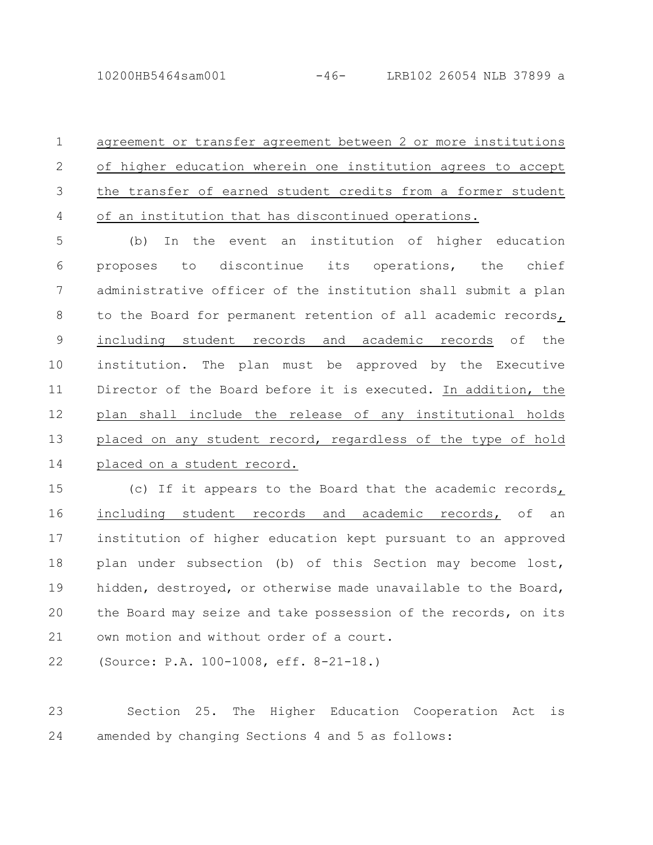agreement or transfer agreement between 2 or more institutions of higher education wherein one institution agrees to accept the transfer of earned student credits from a former student of an institution that has discontinued operations. 1 2 3 4

(b) In the event an institution of higher education proposes to discontinue its operations, the chief administrative officer of the institution shall submit a plan to the Board for permanent retention of all academic records, including student records and academic records of the institution. The plan must be approved by the Executive Director of the Board before it is executed. In addition, the plan shall include the release of any institutional holds placed on any student record, regardless of the type of hold placed on a student record. 5 6 7 8 9 10 11 12 13 14

(c) If it appears to the Board that the academic records, including student records and academic records, of an institution of higher education kept pursuant to an approved plan under subsection (b) of this Section may become lost, hidden, destroyed, or otherwise made unavailable to the Board, the Board may seize and take possession of the records, on its own motion and without order of a court. 15 16 17 18 19 20 21

(Source: P.A. 100-1008, eff. 8-21-18.) 22

Section 25. The Higher Education Cooperation Act is amended by changing Sections 4 and 5 as follows: 23 24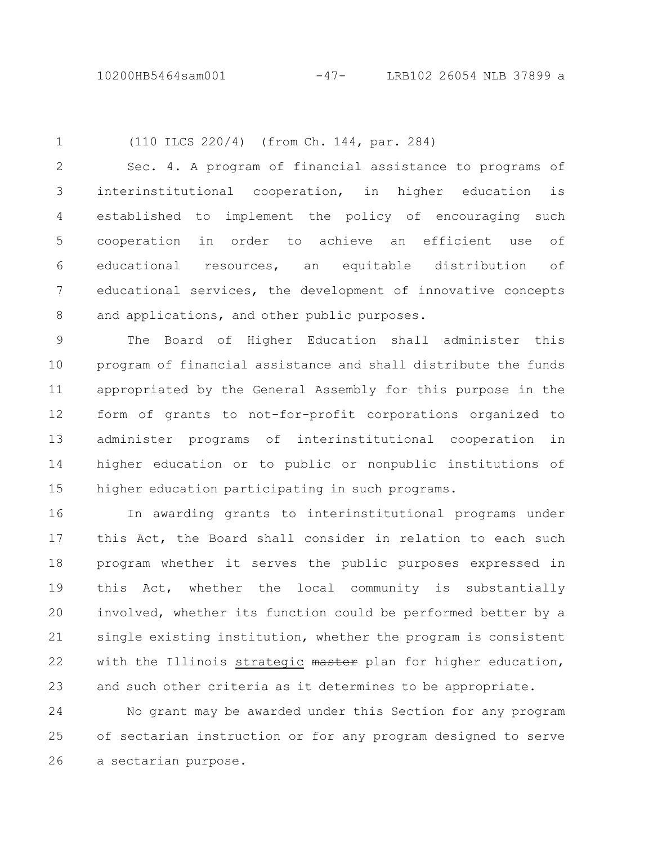1

(110 ILCS 220/4) (from Ch. 144, par. 284)

Sec. 4. A program of financial assistance to programs of interinstitutional cooperation, in higher education is established to implement the policy of encouraging such cooperation in order to achieve an efficient use of educational resources, an equitable distribution of educational services, the development of innovative concepts and applications, and other public purposes. 2 3 4 5 6 7 8

The Board of Higher Education shall administer this program of financial assistance and shall distribute the funds appropriated by the General Assembly for this purpose in the form of grants to not-for-profit corporations organized to administer programs of interinstitutional cooperation in higher education or to public or nonpublic institutions of higher education participating in such programs. 9 10 11 12 13 14 15

In awarding grants to interinstitutional programs under this Act, the Board shall consider in relation to each such program whether it serves the public purposes expressed in this Act, whether the local community is substantially involved, whether its function could be performed better by a single existing institution, whether the program is consistent with the Illinois strategic master plan for higher education, and such other criteria as it determines to be appropriate. 16 17 18 19 20 21 22 23

No grant may be awarded under this Section for any program of sectarian instruction or for any program designed to serve a sectarian purpose. 24 25 26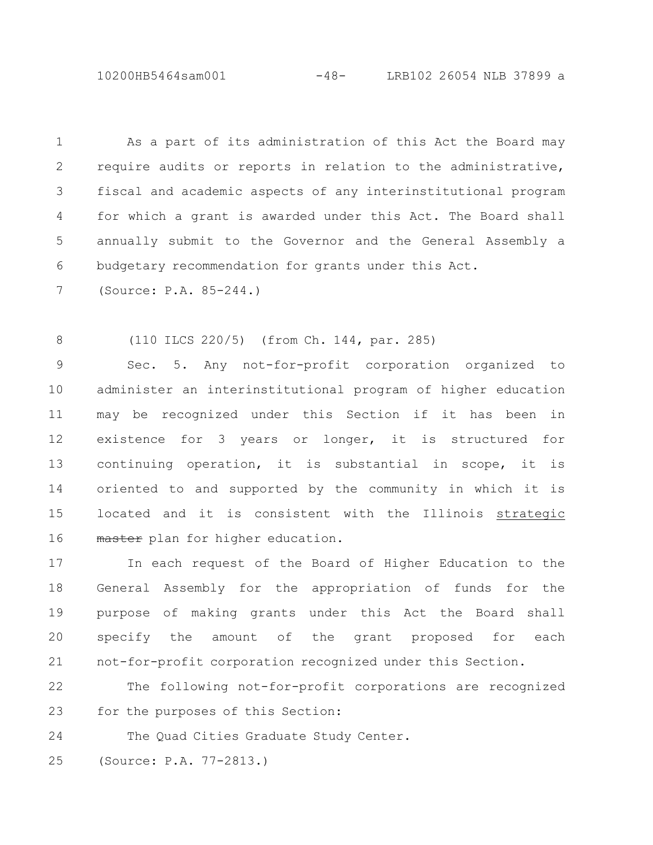10200HB5464sam001 -48- LRB102 26054 NLB 37899 a

As a part of its administration of this Act the Board may require audits or reports in relation to the administrative, fiscal and academic aspects of any interinstitutional program for which a grant is awarded under this Act. The Board shall annually submit to the Governor and the General Assembly a budgetary recommendation for grants under this Act. 1 2 3 4 5 6

(Source: P.A. 85-244.) 7

(110 ILCS 220/5) (from Ch. 144, par. 285) 8

Sec. 5. Any not-for-profit corporation organized to administer an interinstitutional program of higher education may be recognized under this Section if it has been in existence for 3 years or longer, it is structured for continuing operation, it is substantial in scope, it is oriented to and supported by the community in which it is located and it is consistent with the Illinois strategic master plan for higher education. 9 10 11 12 13 14 15 16

In each request of the Board of Higher Education to the General Assembly for the appropriation of funds for the purpose of making grants under this Act the Board shall specify the amount of the grant proposed for each not-for-profit corporation recognized under this Section. 17 18 19 20 21

The following not-for-profit corporations are recognized for the purposes of this Section: 22 23

The Quad Cities Graduate Study Center. 24

(Source: P.A. 77-2813.) 25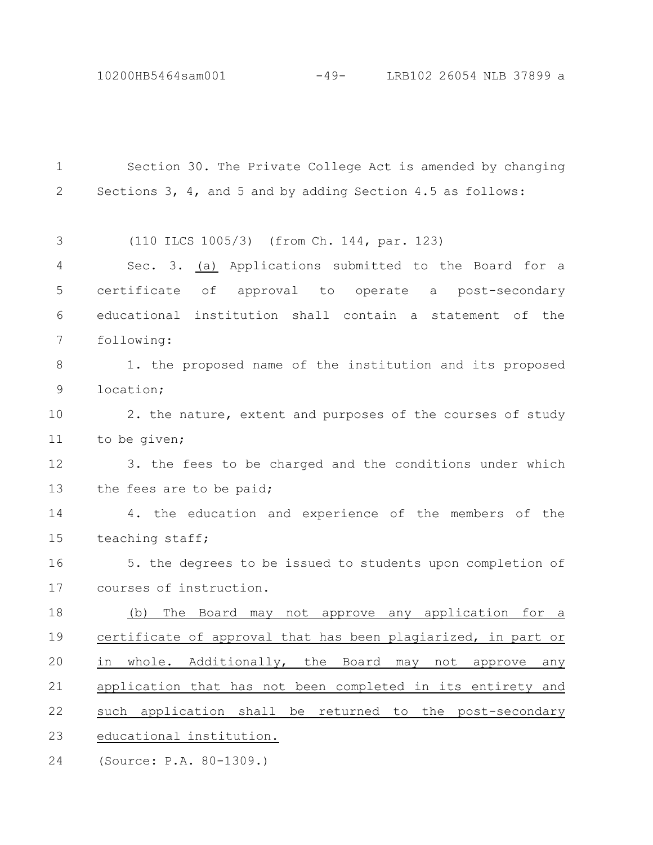10200HB5464sam001 -49- LRB102 26054 NLB 37899 a

| $\mathbf{1}$ | Section 30. The Private College Act is amended by changing        |
|--------------|-------------------------------------------------------------------|
| $\mathbf{2}$ | Sections 3, 4, and 5 and by adding Section 4.5 as follows:        |
|              |                                                                   |
| 3            | (110 ILCS 1005/3) (from Ch. 144, par. 123)                        |
| 4            | Sec. 3. (a) Applications submitted to the Board for a             |
| 5            | certificate of approval to operate a post-secondary               |
| 6            | educational institution shall contain a statement of the          |
| 7            | following:                                                        |
| 8            | 1. the proposed name of the institution and its proposed          |
| 9            | location;                                                         |
| 10           | 2. the nature, extent and purposes of the courses of study        |
| 11           | to be given;                                                      |
| 12           | 3. the fees to be charged and the conditions under which          |
| 13           | the fees are to be paid;                                          |
| 14           | 4. the education and experience of the members of the             |
| 15           | teaching staff;                                                   |
| 16           | 5. the degrees to be issued to students upon completion of        |
| 17           | courses of instruction.                                           |
| 18           | The Board may not approve any application for a<br>(b)            |
| 19           | certificate of approval that has been plagiarized, in part or     |
| 20           | whole. Additionally, the Board<br>in<br>may not<br>approve<br>any |
| 21           | application that has not been completed in its entirety and       |
| 22           | such application shall be returned to the post-secondary          |
| 23           | educational institution.                                          |
| 24           | (Source: P.A. 80-1309.)                                           |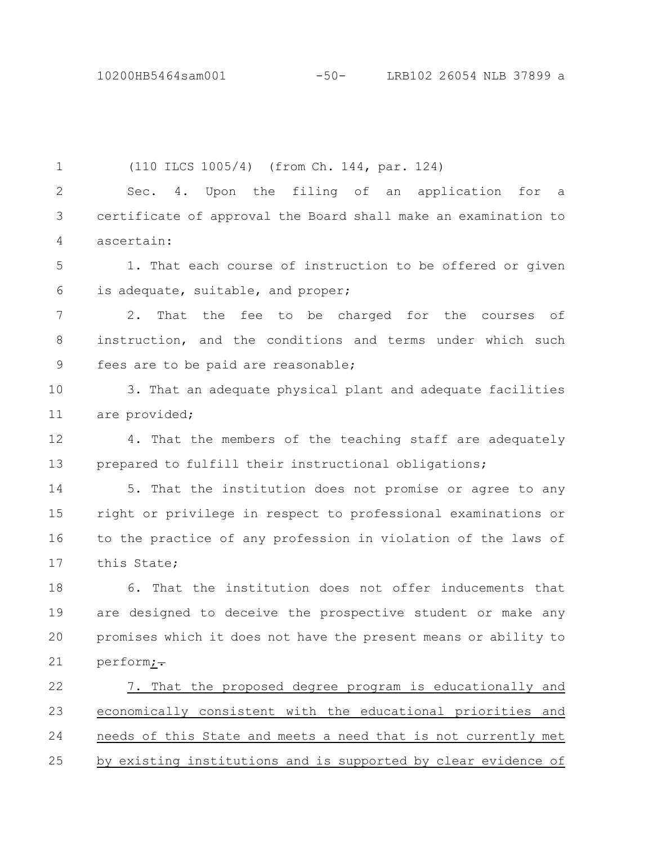10200HB5464sam001 -50- LRB102 26054 NLB 37899 a

(110 ILCS 1005/4) (from Ch. 144, par. 124) Sec. 4. Upon the filing of an application for a certificate of approval the Board shall make an examination to ascertain: 1. That each course of instruction to be offered or given is adequate, suitable, and proper; 2. That the fee to be charged for the courses of instruction, and the conditions and terms under which such fees are to be paid are reasonable; 3. That an adequate physical plant and adequate facilities are provided; 4. That the members of the teaching staff are adequately prepared to fulfill their instructional obligations; 5. That the institution does not promise or agree to any right or privilege in respect to professional examinations or to the practice of any profession in violation of the laws of this State; 6. That the institution does not offer inducements that are designed to deceive the prospective student or make any promises which it does not have the present means or ability to perform;-7. That the proposed degree program is educationally and economically consistent with the educational priorities and needs of this State and meets a need that is not currently met by existing institutions and is supported by clear evidence of 1 2 3 4 5 6 7 8 9 10 11 12 13 14 15 16 17 18 19 20 21 22 23 24 25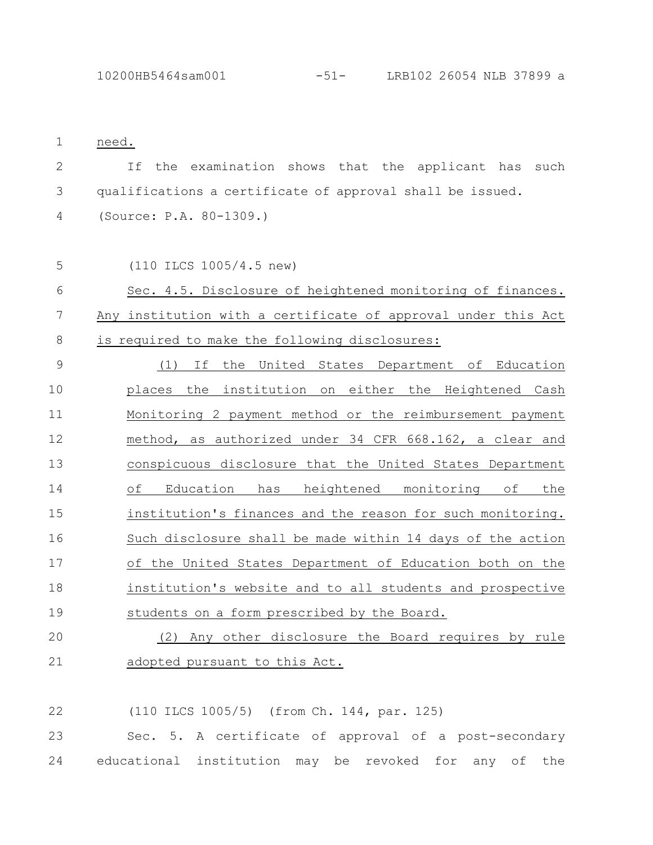| $\mathbf 1$     | need.                                                         |
|-----------------|---------------------------------------------------------------|
| $\mathbf{2}$    | T f<br>the examination shows that the applicant has such      |
| 3               | qualifications a certificate of approval shall be issued.     |
| $\overline{4}$  | (Source: P.A. 80-1309.)                                       |
| 5               | (110 ILCS 1005/4.5 new)                                       |
| 6               | Sec. 4.5. Disclosure of heightened monitoring of finances.    |
| $7\phantom{.0}$ | Any institution with a certificate of approval under this Act |
| $8\,$           | is required to make the following disclosures:                |
| 9               | If the United States Department of Education<br>(1)           |
| 10              | places the institution on either the Heightened Cash          |
| 11              | Monitoring 2 payment method or the reimbursement payment      |
| 12              | method, as authorized under 34 CFR 668.162, a clear and       |
| 13              | conspicuous disclosure that the United States Department      |
| 14              | Education has heightened monitoring of<br>of<br>the           |
| 15              | institution's finances and the reason for such monitoring.    |
| 16              | Such disclosure shall be made within 14 days of the action    |
| 17              | of the United States Department of Education both on the      |
| 18              | institution's website and to all students and prospective     |
| 19              | students on a form prescribed by the Board.                   |
| 20              | (2) Any other disclosure the Board requires by rule           |
| 21              | adopted pursuant to this Act.                                 |

(110 ILCS 1005/5) (from Ch. 144, par. 125) 22

Sec. 5. A certificate of approval of a post-secondary educational institution may be revoked for any of the 24 23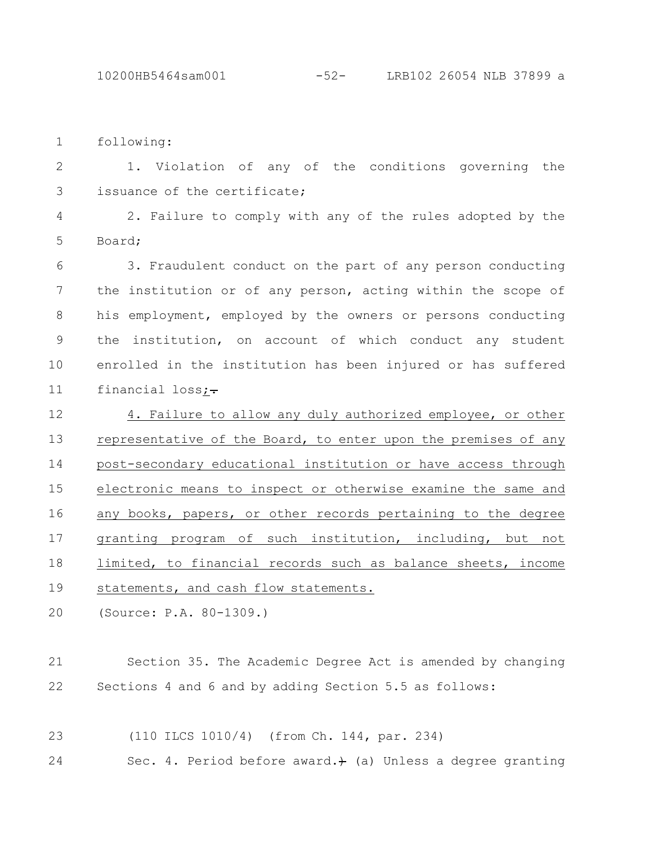following: 1

1. Violation of any of the conditions governing the issuance of the certificate; 2 3

2. Failure to comply with any of the rules adopted by the Board; 4 5

3. Fraudulent conduct on the part of any person conducting the institution or of any person, acting within the scope of his employment, employed by the owners or persons conducting the institution, on account of which conduct any student enrolled in the institution has been injured or has suffered financial  $loss$ ; 6 7 8 9 10 11

4. Failure to allow any duly authorized employee, or other representative of the Board, to enter upon the premises of any post-secondary educational institution or have access through electronic means to inspect or otherwise examine the same and any books, papers, or other records pertaining to the degree granting program of such institution, including, but not limited, to financial records such as balance sheets, income statements, and cash flow statements. 12 13 14 15 16 17 18 19

(Source: P.A. 80-1309.) 20

Section 35. The Academic Degree Act is amended by changing Sections 4 and 6 and by adding Section 5.5 as follows: 21 22

(110 ILCS 1010/4) (from Ch. 144, par. 234) 23

Sec. 4. Period before award. $)$  (a) Unless a degree granting 24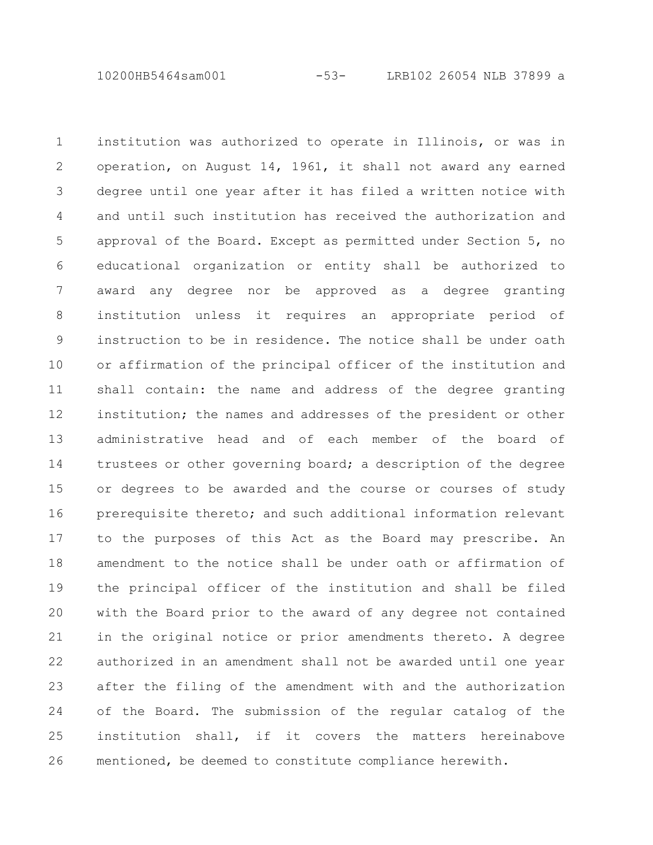10200HB5464sam001 -53- LRB102 26054 NLB 37899 a

institution was authorized to operate in Illinois, or was in operation, on August 14, 1961, it shall not award any earned degree until one year after it has filed a written notice with and until such institution has received the authorization and approval of the Board. Except as permitted under Section 5, no educational organization or entity shall be authorized to award any degree nor be approved as a degree granting institution unless it requires an appropriate period of instruction to be in residence. The notice shall be under oath or affirmation of the principal officer of the institution and shall contain: the name and address of the degree granting institution; the names and addresses of the president or other administrative head and of each member of the board of trustees or other governing board; a description of the degree or degrees to be awarded and the course or courses of study prerequisite thereto; and such additional information relevant to the purposes of this Act as the Board may prescribe. An amendment to the notice shall be under oath or affirmation of the principal officer of the institution and shall be filed with the Board prior to the award of any degree not contained in the original notice or prior amendments thereto. A degree authorized in an amendment shall not be awarded until one year after the filing of the amendment with and the authorization of the Board. The submission of the regular catalog of the institution shall, if it covers the matters hereinabove mentioned, be deemed to constitute compliance herewith. 1 2 3 4 5 6 7 8 9 10 11 12 13 14 15 16 17 18 19 20 21 22 23 24 25 26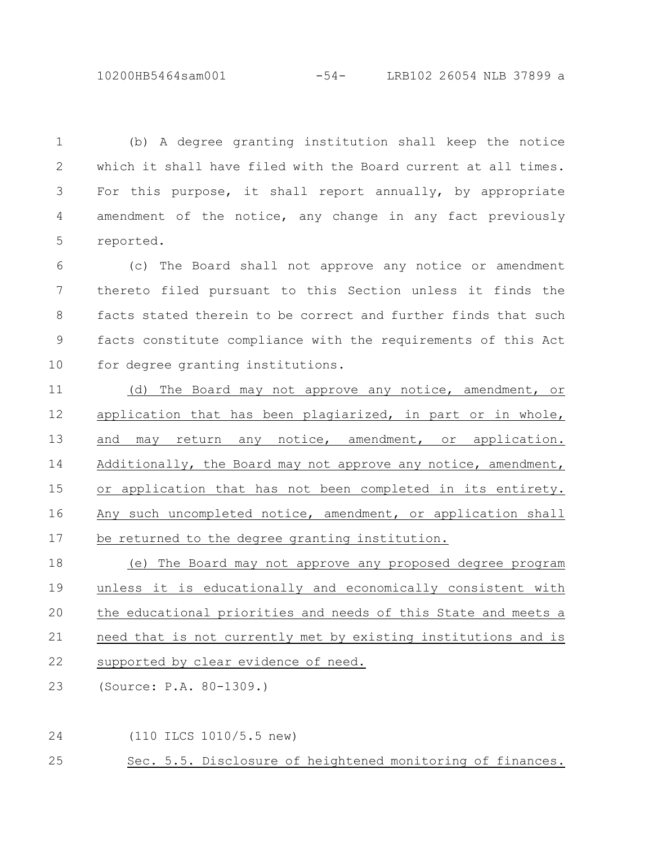10200HB5464sam001 -54- LRB102 26054 NLB 37899 a

(b) A degree granting institution shall keep the notice which it shall have filed with the Board current at all times. For this purpose, it shall report annually, by appropriate amendment of the notice, any change in any fact previously reported. 1 2 3 4 5

(c) The Board shall not approve any notice or amendment thereto filed pursuant to this Section unless it finds the facts stated therein to be correct and further finds that such facts constitute compliance with the requirements of this Act for degree granting institutions. 6 7 8 9 10

(d) The Board may not approve any notice, amendment, or application that has been plagiarized, in part or in whole, and may return any notice, amendment, or application. Additionally, the Board may not approve any notice, amendment, or application that has not been completed in its entirety. Any such uncompleted notice, amendment, or application shall be returned to the degree granting institution. 11 12 13 14 15 16 17

(e) The Board may not approve any proposed degree program unless it is educationally and economically consistent with the educational priorities and needs of this State and meets a need that is not currently met by existing institutions and is supported by clear evidence of need. 18 19 20 21 22

(Source: P.A. 80-1309.) 23

(110 ILCS 1010/5.5 new) 24

Sec. 5.5. Disclosure of heightened monitoring of finances. 25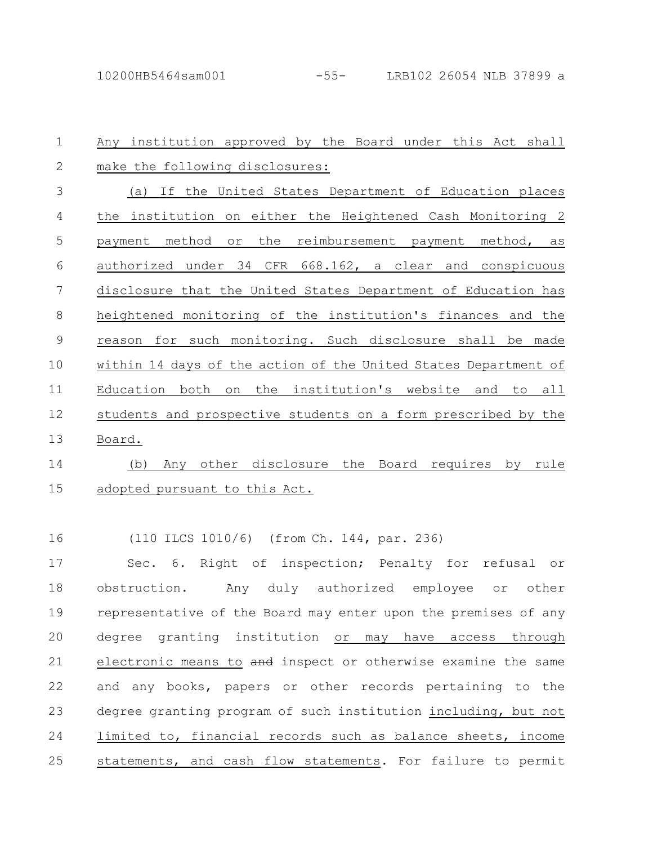24

Any institution approved by the Board under this Act shall make the following disclosures: (a) If the United States Department of Education places the institution on either the Heightened Cash Monitoring 2 payment method or the reimbursement payment method, as authorized under 34 CFR 668.162, a clear and conspicuous disclosure that the United States Department of Education has heightened monitoring of the institution's finances and the reason for such monitoring. Such disclosure shall be made within 14 days of the action of the United States Department of Education both on the institution's website and to all students and prospective students on a form prescribed by the Board. (b) Any other disclosure the Board requires by rule adopted pursuant to this Act. (110 ILCS 1010/6) (from Ch. 144, par. 236) Sec. 6. Right of inspection; Penalty for refusal or obstruction. Any duly authorized employee or other representative of the Board may enter upon the premises of any degree granting institution or may have access through electronic means to and inspect or otherwise examine the same and any books, papers or other records pertaining to the degree granting program of such institution including, but not limited to, financial records such as balance sheets, income 1 2 3 4 5 6 7 8 9 10 11 12 13 14 15 16 17 18 19 20 21 22 23

statements, and cash flow statements. For failure to permit 25